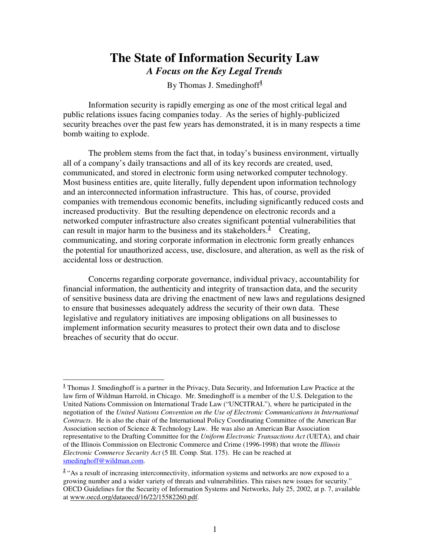# **The State of Information Security Law**  *A Focus on the Key Legal Trends*

By Thomas J. Smedinghoff<sup>1</sup>

Information security is rapidly emerging as one of the most critical legal and public relations issues facing companies today. As the series of highly-publicized security breaches over the past few years has demonstrated, it is in many respects a time bomb waiting to explode.

The problem stems from the fact that, in today's business environment, virtually all of a company's daily transactions and all of its key records are created, used, communicated, and stored in electronic form using networked computer technology. Most business entities are, quite literally, fully dependent upon information technology and an interconnected information infrastructure. This has, of course, provided companies with tremendous economic benefits, including significantly reduced costs and increased productivity. But the resulting dependence on electronic records and a networked computer infrastructure also creates significant potential vulnerabilities that can result in major harm to the business and its stakeholders.<sup>2</sup> Creating, communicating, and storing corporate information in electronic form greatly enhances the potential for unauthorized access, use, disclosure, and alteration, as well as the risk of accidental loss or destruction.

 Concerns regarding corporate governance, individual privacy, accountability for financial information, the authenticity and integrity of transaction data, and the security of sensitive business data are driving the enactment of new laws and regulations designed to ensure that businesses adequately address the security of their own data. These legislative and regulatory initiatives are imposing obligations on all businesses to implement information security measures to protect their own data and to disclose breaches of security that do occur.

<sup>&</sup>lt;sup>1</sup> Thomas J. Smedinghoff is a partner in the Privacy, Data Security, and Information Law Practice at the law firm of Wildman Harrold, in Chicago. Mr. Smedinghoff is a member of the U.S. Delegation to the United Nations Commission on International Trade Law ("UNCITRAL"), where he participated in the negotiation of the *United Nations Convention on the Use of Electronic Communications in International Contracts*. He is also the chair of the International Policy Coordinating Committee of the American Bar Association section of Science & Technology Law. He was also an American Bar Association representative to the Drafting Committee for the *Uniform Electronic Transactions Act* (UETA), and chair of the Illinois Commission on Electronic Commerce and Crime (1996-1998) that wrote the *Illinois Electronic Commerce Security Act* (5 Ill. Comp. Stat. 175). He can be reached at smedinghoff@wildman.com.

<sup>&</sup>lt;sup>2</sup> "As a result of increasing interconnectivity, information systems and networks are now exposed to a growing number and a wider variety of threats and vulnerabilities. This raises new issues for security." OECD Guidelines for the Security of Information Systems and Networks, July 25, 2002, at p. 7, available at www.oecd.org/dataoecd/16/22/15582260.pdf.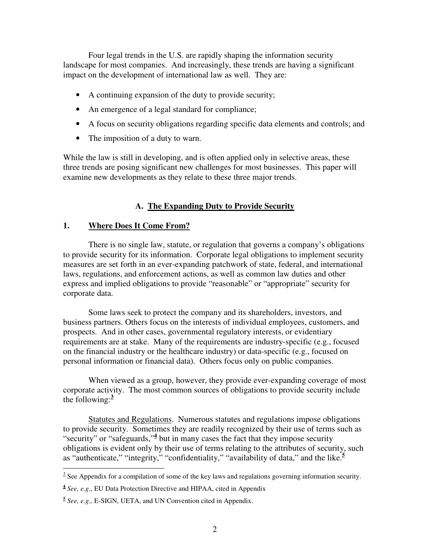Four legal trends in the U.S. are rapidly shaping the information security landscape for most companies. And increasingly, these trends are having a significant impact on the development of international law as well. They are:

- A continuing expansion of the duty to provide security;
- An emergence of a legal standard for compliance;
- A focus on security obligations regarding specific data elements and controls; and
- The imposition of a duty to warn.

While the law is still in developing, and is often applied only in selective areas, these three trends are posing significant new challenges for most businesses. This paper will examine new developments as they relate to these three major trends.

# **A. The Expanding Duty to Provide Security**

## **1. Where Does It Come From?**

There is no single law, statute, or regulation that governs a company's obligations to provide security for its information. Corporate legal obligations to implement security measures are set forth in an ever-expanding patchwork of state, federal, and international laws, regulations, and enforcement actions, as well as common law duties and other express and implied obligations to provide "reasonable" or "appropriate" security for corporate data.

Some laws seek to protect the company and its shareholders, investors, and business partners. Others focus on the interests of individual employees, customers, and prospects. And in other cases, governmental regulatory interests, or evidentiary requirements are at stake. Many of the requirements are industry-specific (e.g., focused on the financial industry or the healthcare industry) or data-specific (e.g., focused on personal information or financial data). Others focus only on public companies.

When viewed as a group, however, they provide ever-expanding coverage of most corporate activity. The most common sources of obligations to provide security include the following:**<sup>3</sup>**

Statutes and Regulations. Numerous statutes and regulations impose obligations to provide security. Sometimes they are readily recognized by their use of terms such as "security" or "safeguards,"<sup>4</sup> but in many cases the fact that they impose security obligations is evident only by their use of terms relating to the attributes of security, such as "authenticate," "integrity," "confidentiality," "availability of data," and the like.**<sup>5</sup>**

 $\frac{3}{3}$  See Appendix for a compilation of some of the key laws and regulations governing information security.

**<sup>4</sup>** *See, e.g*., EU Data Protection Directive and HIPAA, cited in Appendix

**<sup>5</sup>** *See, e.g.,* E-SIGN, UETA, and UN Convention cited in Appendix.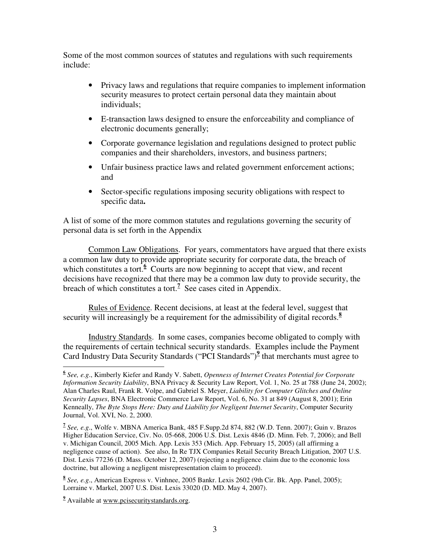Some of the most common sources of statutes and regulations with such requirements include:

- Privacy laws and regulations that require companies to implement information security measures to protect certain personal data they maintain about individuals;
- E-transaction laws designed to ensure the enforceability and compliance of electronic documents generally;
- Corporate governance legislation and regulations designed to protect public companies and their shareholders, investors, and business partners;
- Unfair business practice laws and related government enforcement actions; and
- Sector-specific regulations imposing security obligations with respect to specific data**.**

A list of some of the more common statutes and regulations governing the security of personal data is set forth in the Appendix

Common Law Obligations. For years, commentators have argued that there exists a common law duty to provide appropriate security for corporate data, the breach of which constitutes a tort.<sup>6</sup> Courts are now beginning to accept that view, and recent decisions have recognized that there may be a common law duty to provide security, the breach of which constitutes a tort.<sup>7</sup> See cases cited in Appendix.

Rules of Evidence. Recent decisions, at least at the federal level, suggest that security will increasingly be a requirement for the admissibility of digital records.**<sup>8</sup>**

Industry Standards. In some cases, companies become obligated to comply with the requirements of certain technical security standards. Examples include the Payment Card Industry Data Security Standards ("PCI Standards")<sup>2</sup> that merchants must agree to

 $\overline{a}$ **6** *See, e.g*., Kimberly Kiefer and Randy V. Sabett, *Openness of Internet Creates Potential for Corporate Information Security Liability*, BNA Privacy & Security Law Report, Vol. 1, No. 25 at 788 (June 24, 2002); Alan Charles Raul, Frank R. Volpe, and Gabriel S. Meyer, *Liability for Computer Glitches and Online Security Lapses*, BNA Electronic Commerce Law Report, Vol. 6, No. 31 at 849 (August 8, 2001); Erin Kenneally, *The Byte Stops Here: Duty and Liability for Negligent Internet Security*, Computer Security Journal, Vol. XVI, No. 2, 2000.

**<sup>7</sup>** *See, e.g*., Wolfe v. MBNA America Bank, 485 F.Supp.2d 874, 882 (W.D. Tenn. 2007); Guin v. Brazos Higher Education Service, Civ. No. 05-668, 2006 U.S. Dist. Lexis 4846 (D. Minn. Feb. 7, 2006); and Bell v. Michigan Council, 2005 Mich. App. Lexis 353 (Mich. App. February 15, 2005) (all affirming a negligence cause of action). See also, In Re TJX Companies Retail Security Breach Litigation, 2007 U.S. Dist. Lexis 77236 (D. Mass. October 12, 2007) (rejecting a negligence claim due to the economic loss doctrine, but allowing a negligent misrepresentation claim to proceed).

**<sup>8</sup>** *See, e.g*., American Express v. Vinhnee, 2005 Bankr. Lexis 2602 (9th Cir. Bk. App. Panel, 2005); Lorraine v. Markel, 2007 U.S. Dist. Lexis 33020 (D. MD. May 4, 2007).

<sup>&</sup>lt;sup>9</sup> Available at www.pcisecuritystandards.org.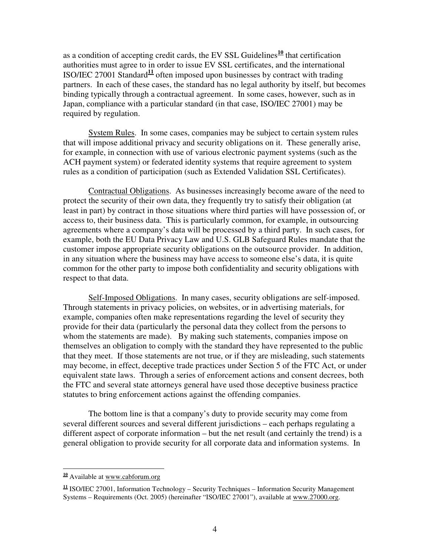as a condition of accepting credit cards, the EV SSL Guidelines**<sup>10</sup>** that certification authorities must agree to in order to issue EV SSL certificates, and the international ISO/IEC 27001 Standard<sup>11</sup> often imposed upon businesses by contract with trading partners. In each of these cases, the standard has no legal authority by itself, but becomes binding typically through a contractual agreement. In some cases, however, such as in Japan, compliance with a particular standard (in that case, ISO/IEC 27001) may be required by regulation.

System Rules. In some cases, companies may be subject to certain system rules that will impose additional privacy and security obligations on it. These generally arise, for example, in connection with use of various electronic payment systems (such as the ACH payment system) or federated identity systems that require agreement to system rules as a condition of participation (such as Extended Validation SSL Certificates).

Contractual Obligations. As businesses increasingly become aware of the need to protect the security of their own data, they frequently try to satisfy their obligation (at least in part) by contract in those situations where third parties will have possession of, or access to, their business data. This is particularly common, for example, in outsourcing agreements where a company's data will be processed by a third party. In such cases, for example, both the EU Data Privacy Law and U.S. GLB Safeguard Rules mandate that the customer impose appropriate security obligations on the outsource provider. In addition, in any situation where the business may have access to someone else's data, it is quite common for the other party to impose both confidentiality and security obligations with respect to that data.

Self-Imposed Obligations. In many cases, security obligations are self-imposed. Through statements in privacy policies, on websites, or in advertising materials, for example, companies often make representations regarding the level of security they provide for their data (particularly the personal data they collect from the persons to whom the statements are made). By making such statements, companies impose on themselves an obligation to comply with the standard they have represented to the public that they meet. If those statements are not true, or if they are misleading, such statements may become, in effect, deceptive trade practices under Section 5 of the FTC Act, or under equivalent state laws. Through a series of enforcement actions and consent decrees, both the FTC and several state attorneys general have used those deceptive business practice statutes to bring enforcement actions against the offending companies.

The bottom line is that a company's duty to provide security may come from several different sources and several different jurisdictions – each perhaps regulating a different aspect of corporate information – but the net result (and certainly the trend) is a general obligation to provide security for all corporate data and information systems. In

**<sup>10</sup>** Available at www.cabforum.org

**<sup>11</sup>** ISO/IEC 27001, Information Technology – Security Techniques – Information Security Management Systems – Requirements (Oct. 2005) (hereinafter "ISO/IEC 27001"), available at www.27000.org.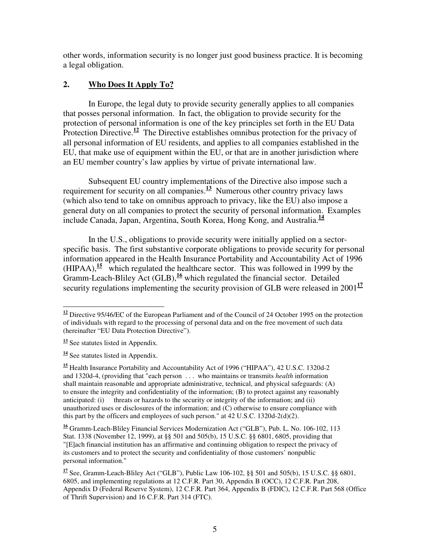other words, information security is no longer just good business practice. It is becoming a legal obligation.

# **2. Who Does It Apply To?**

In Europe, the legal duty to provide security generally applies to all companies that posses personal information. In fact, the obligation to provide security for the protection of personal information is one of the key principles set forth in the EU Data Protection Directive.<sup>12</sup> The Directive establishes omnibus protection for the privacy of all personal information of EU residents, and applies to all companies established in the EU, that make use of equipment within the EU, or that are in another jurisdiction where an EU member country's law applies by virtue of private international law.

Subsequent EU country implementations of the Directive also impose such a requirement for security on all companies.**<sup>13</sup>** Numerous other country privacy laws (which also tend to take on omnibus approach to privacy, like the EU) also impose a general duty on all companies to protect the security of personal information. Examples include Canada, Japan, Argentina, South Korea, Hong Kong, and Australia.**<sup>14</sup>**

In the U.S., obligations to provide security were initially applied on a sectorspecific basis. The first substantive corporate obligations to provide security for personal information appeared in the Health Insurance Portability and Accountability Act of 1996 (HIPAA),**<sup>15</sup>** which regulated the healthcare sector. This was followed in 1999 by the Gramm-Leach-Bliley Act (GLB),**<sup>16</sup>** which regulated the financial sector. Detailed security regulations implementing the security provision of GLB were released in 2001<sup>17</sup>

 $\overline{a}$ **<sup>12</sup>** Directive 95/46/EC of the European Parliament and of the Council of 24 October 1995 on the protection of individuals with regard to the processing of personal data and on the free movement of such data (hereinafter "EU Data Protection Directive").

**<sup>13</sup>** See statutes listed in Appendix.

**<sup>14</sup>** See statutes listed in Appendix.

**<sup>15</sup>** Health Insurance Portability and Accountability Act of 1996 ("HIPAA"), 42 U.S.C. 1320d-2 and 1320d-4, (providing that "each person . . . who maintains or transmits *health* information shall maintain reasonable and appropriate administrative, technical, and physical safeguards: (A) to ensure the integrity and confidentiality of the information; (B) to protect against any reasonably anticipated: (i) threats or hazards to the security or integrity of the information; and (ii) unauthorized uses or disclosures of the information; and (C) otherwise to ensure compliance with this part by the officers and employees of such person." at 42 U.S.C. 1320d-2(d)(2).

**<sup>16</sup>** Gramm-Leach-Bliley Financial Services Modernization Act ("GLB"), Pub. L. No. 106-102, 113 Stat. 1338 (November 12, 1999), at §§ 501 and 505(b), 15 U.S.C. §§ 6801, 6805, providing that "[E]ach financial institution has an affirmative and continuing obligation to respect the privacy of its customers and to protect the security and confidentiality of those customers' nonpublic personal information."

**<sup>17</sup>** See, Gramm-Leach-Bliley Act ("GLB"), Public Law 106-102, §§ 501 and 505(b), 15 U.S.C. §§ 6801, 6805, and implementing regulations at 12 C.F.R. Part 30, Appendix B (OCC), 12 C.F.R. Part 208, Appendix D (Federal Reserve System), 12 C.F.R. Part 364, Appendix B (FDIC), 12 C.F.R. Part 568 (Office of Thrift Supervision) and 16 C.F.R. Part 314 (FTC).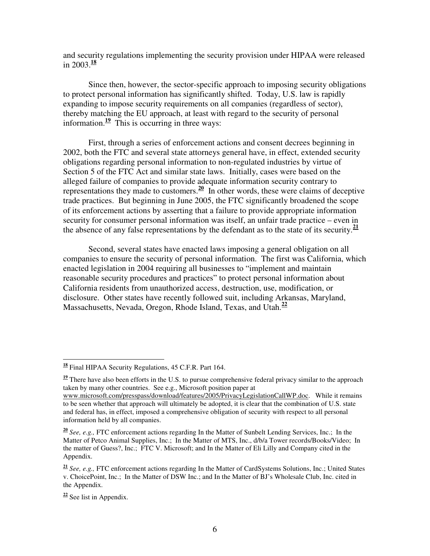and security regulations implementing the security provision under HIPAA were released in 2003.**<sup>18</sup>**

 Since then, however, the sector-specific approach to imposing security obligations to protect personal information has significantly shifted. Today, U.S. law is rapidly expanding to impose security requirements on all companies (regardless of sector), thereby matching the EU approach, at least with regard to the security of personal information.<sup>19</sup> This is occurring in three ways:

First, through a series of enforcement actions and consent decrees beginning in 2002, both the FTC and several state attorneys general have, in effect, extended security obligations regarding personal information to non-regulated industries by virtue of Section 5 of the FTC Act and similar state laws. Initially, cases were based on the alleged failure of companies to provide adequate information security contrary to representations they made to customers.**<sup>20</sup>** In other words, these were claims of deceptive trade practices. But beginning in June 2005, the FTC significantly broadened the scope of its enforcement actions by asserting that a failure to provide appropriate information security for consumer personal information was itself, an unfair trade practice – even in the absence of any false representations by the defendant as to the state of its security.**<sup>21</sup>**

 Second, several states have enacted laws imposing a general obligation on all companies to ensure the security of personal information. The first was California, which enacted legislation in 2004 requiring all businesses to "implement and maintain reasonable security procedures and practices" to protect personal information about California residents from unauthorized access, destruction, use, modification, or disclosure. Other states have recently followed suit, including Arkansas, Maryland, Massachusetts, Nevada, Oregon, Rhode Island, Texas, and Utah.**<sup>22</sup>**

**<sup>18</sup>** Final HIPAA Security Regulations, 45 C.F.R. Part 164.

**<sup>19</sup>** There have also been efforts in the U.S. to pursue comprehensive federal privacy similar to the approach taken by many other countries. See e.g., Microsoft position paper at

www.microsoft.com/presspass/download/features/2005/PrivacyLegislationCallWP.doc. While it remains to be seen whether that approach will ultimately be adopted, it is clear that the combination of U.S. state and federal has, in effect, imposed a comprehensive obligation of security with respect to all personal information held by all companies.

**<sup>20</sup>** *See, e.g.,* FTC enforcement actions regarding In the Matter of Sunbelt Lending Services, Inc.; In the Matter of Petco Animal Supplies, Inc.; In the Matter of MTS, Inc., d/b/a Tower records/Books/Video; In the matter of Guess?, Inc.; FTC V. Microsoft; and In the Matter of Eli Lilly and Company cited in the Appendix.

**<sup>21</sup>** *See, e.g.,* FTC enforcement actions regarding In the Matter of CardSystems Solutions, Inc.; United States v. ChoicePoint, Inc.; In the Matter of DSW Inc.; and In the Matter of BJ's Wholesale Club, Inc. cited in the Appendix.

**<sup>22</sup>** See list in Appendix.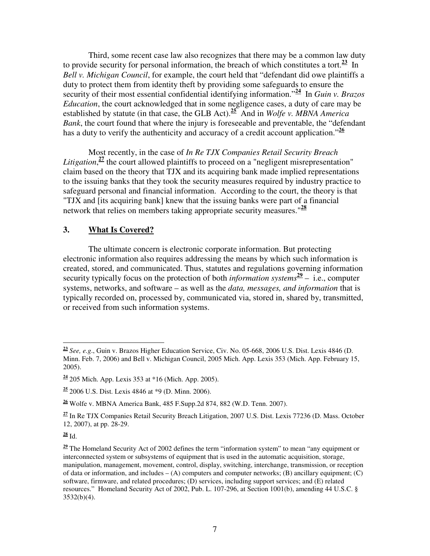Third, some recent case law also recognizes that there may be a common law duty to provide security for personal information, the breach of which constitutes a tort.<sup>23</sup> In *Bell v. Michigan Council*, for example, the court held that "defendant did owe plaintiffs a duty to protect them from identity theft by providing some safeguards to ensure the security of their most essential confidential identifying information."**<sup>24</sup>** In *Guin v. Brazos Education*, the court acknowledged that in some negligence cases, a duty of care may be established by statute (in that case, the GLB Act).**<sup>25</sup>** And in *Wolfe v. MBNA America Bank*, the court found that where the injury is foreseeable and preventable, the "defendant has a duty to verify the authenticity and accuracy of a credit account application."**<sup>26</sup>**

Most recently, in the case of *In Re TJX Companies Retail Security Breach Litigation*, $\frac{27}{2}$  the court allowed plaintiffs to proceed on a "negligent misrepresentation" claim based on the theory that TJX and its acquiring bank made implied representations to the issuing banks that they took the security measures required by industry practice to safeguard personal and financial information. According to the court, the theory is that "TJX and [its acquiring bank] knew that the issuing banks were part of a financial network that relies on members taking appropriate security measures."**<sup>28</sup>**

### **3. What Is Covered?**

 The ultimate concern is electronic corporate information. But protecting electronic information also requires addressing the means by which such information is created, stored, and communicated. Thus, statutes and regulations governing information security typically focus on the protection of both *information systems*<sup>29</sup> – i.e., computer systems, networks, and software – as well as the *data, messages, and information* that is typically recorded on, processed by, communicated via, stored in, shared by, transmitted, or received from such information systems.

**<sup>28</sup>** Id.

**<sup>23</sup>** *See, e.g*., Guin v. Brazos Higher Education Service, Civ. No. 05-668, 2006 U.S. Dist. Lexis 4846 (D. Minn. Feb. 7, 2006) and Bell v. Michigan Council, 2005 Mich. App. Lexis 353 (Mich. App. February 15, 2005).

**<sup>24</sup>** 205 Mich. App. Lexis 353 at \*16 (Mich. App. 2005).

**<sup>25</sup>** 2006 U.S. Dist. Lexis 4846 at \*9 (D. Minn. 2006).

**<sup>26</sup>** Wolfe v. MBNA America Bank, 485 F.Supp.2d 874, 882 (W.D. Tenn. 2007).

**<sup>27</sup>** In Re TJX Companies Retail Security Breach Litigation, 2007 U.S. Dist. Lexis 77236 (D. Mass. October 12, 2007), at pp. 28-29.

**<sup>29</sup>** The Homeland Security Act of 2002 defines the term "information system" to mean "any equipment or interconnected system or subsystems of equipment that is used in the automatic acquisition, storage, manipulation, management, movement, control, display, switching, interchange, transmission, or reception of data or information, and includes  $-(A)$  computers and computer networks; (B) ancillary equipment; (C) software, firmware, and related procedures; (D) services, including support services; and (E) related resources." Homeland Security Act of 2002, Pub. L. 107-296, at Section 1001(b), amending 44 U.S.C. § 3532(b)(4).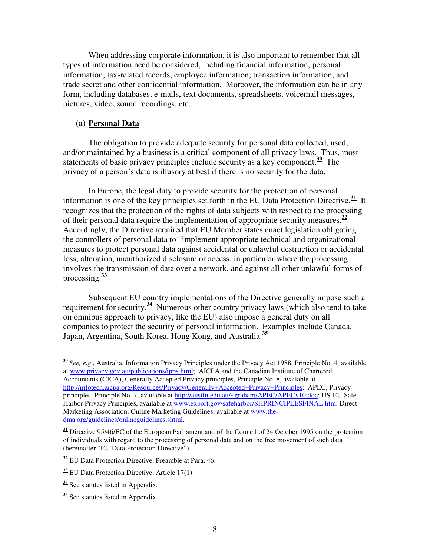When addressing corporate information, it is also important to remember that all types of information need be considered, including financial information, personal information, tax-related records, employee information, transaction information, and trade secret and other confidential information. Moreover, the information can be in any form, including databases, e-mails, text documents, spreadsheets, voicemail messages, pictures, video, sound recordings, etc.

#### **(a) Personal Data**

The obligation to provide adequate security for personal data collected, used, and/or maintained by a business is a critical component of all privacy laws. Thus, most statements of basic privacy principles include security as a key component.**<sup>30</sup>** The privacy of a person's data is illusory at best if there is no security for the data.

 In Europe, the legal duty to provide security for the protection of personal information is one of the key principles set forth in the EU Data Protection Directive.**<sup>31</sup>** It recognizes that the protection of the rights of data subjects with respect to the processing of their personal data require the implementation of appropriate security measures.**<sup>32</sup>** Accordingly, the Directive required that EU Member states enact legislation obligating the controllers of personal data to "implement appropriate technical and organizational measures to protect personal data against accidental or unlawful destruction or accidental loss, alteration, unauthorized disclosure or access, in particular where the processing involves the transmission of data over a network, and against all other unlawful forms of processing.**<sup>33</sup>**

Subsequent EU country implementations of the Directive generally impose such a requirement for security.**<sup>34</sup>** Numerous other country privacy laws (which also tend to take on omnibus approach to privacy, like the EU) also impose a general duty on all companies to protect the security of personal information. Examples include Canada, Japan, Argentina, South Korea, Hong Kong, and Australia.**<sup>35</sup>**

**<sup>30</sup>** *See, e.g*., Australia, Information Privacy Principles under the Privacy Act 1988, Principle No. 4, available at www.privacy.gov.au/publications/ipps.html; AICPA and the Canadian Institute of Chartered Accountants (CICA), Generally Accepted Privacy principles, Principle No. 8, available at http://infotech.aicpa.org/Resources/Privacy/Generally+Accepted+Privacy+Principles; APEC, Privacy principles, Principle No. 7, available at http://austlii.edu.au/~graham/APEC/APECv10.doc; US-EU Safe Harbor Privacy Principles, available at www.export.gov/safeharbor/SHPRINCIPLESFINAL.htm; Direct Marketing Association, Online Marketing Guidelines, available at www.thedma.org/guidelines/onlineguidelines.shtml.

**<sup>31</sup>** Directive 95/46/EC of the European Parliament and of the Council of 24 October 1995 on the protection of individuals with regard to the processing of personal data and on the free movement of such data (hereinafter "EU Data Protection Directive").

**<sup>32</sup>** EU Data Protection Directive, Preamble at Para. 46.

**<sup>33</sup>** EU Data Protection Directive, Article 17(1).

**<sup>34</sup>** See statutes listed in Appendix.

**<sup>35</sup>** See statutes listed in Appendix.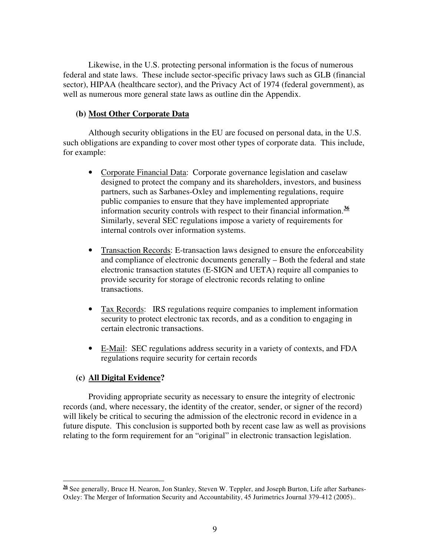Likewise, in the U.S. protecting personal information is the focus of numerous federal and state laws. These include sector-specific privacy laws such as GLB (financial sector), HIPAA (healthcare sector), and the Privacy Act of 1974 (federal government), as well as numerous more general state laws as outline din the Appendix.

#### **(b) Most Other Corporate Data**

Although security obligations in the EU are focused on personal data, in the U.S. such obligations are expanding to cover most other types of corporate data. This include, for example:

- Corporate Financial Data: Corporate governance legislation and caselaw designed to protect the company and its shareholders, investors, and business partners, such as Sarbanes-Oxley and implementing regulations, require public companies to ensure that they have implemented appropriate information security controls with respect to their financial information.**<sup>36</sup>** Similarly, several SEC regulations impose a variety of requirements for internal controls over information systems.
- Transaction Records: E-transaction laws designed to ensure the enforceability and compliance of electronic documents generally – Both the federal and state electronic transaction statutes (E-SIGN and UETA) require all companies to provide security for storage of electronic records relating to online transactions.
- Tax Records: IRS regulations require companies to implement information security to protect electronic tax records, and as a condition to engaging in certain electronic transactions.
- E-Mail: SEC regulations address security in a variety of contexts, and FDA regulations require security for certain records

#### **(c) All Digital Evidence?**

 $\overline{a}$ 

 Providing appropriate security as necessary to ensure the integrity of electronic records (and, where necessary, the identity of the creator, sender, or signer of the record) will likely be critical to securing the admission of the electronic record in evidence in a future dispute. This conclusion is supported both by recent case law as well as provisions relating to the form requirement for an "original" in electronic transaction legislation.

**<sup>36</sup>** See generally, Bruce H. Nearon, Jon Stanley, Steven W. Teppler, and Joseph Burton, Life after Sarbanes-Oxley: The Merger of Information Security and Accountability, 45 Jurimetrics Journal 379-412 (2005)..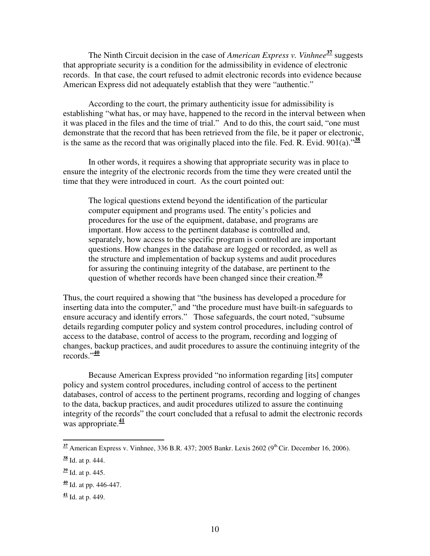The Ninth Circuit decision in the case of *American Express v. Vinhnee***<sup>37</sup>** suggests that appropriate security is a condition for the admissibility in evidence of electronic records. In that case, the court refused to admit electronic records into evidence because American Express did not adequately establish that they were "authentic."

According to the court, the primary authenticity issue for admissibility is establishing "what has, or may have, happened to the record in the interval between when it was placed in the files and the time of trial." And to do this, the court said, "one must demonstrate that the record that has been retrieved from the file, be it paper or electronic, is the same as the record that was originally placed into the file. Fed. R. Evid.  $901(a)$ .<sup>38</sup>

In other words, it requires a showing that appropriate security was in place to ensure the integrity of the electronic records from the time they were created until the time that they were introduced in court. As the court pointed out:

The logical questions extend beyond the identification of the particular computer equipment and programs used. The entity's policies and procedures for the use of the equipment, database, and programs are important. How access to the pertinent database is controlled and, separately, how access to the specific program is controlled are important questions. How changes in the database are logged or recorded, as well as the structure and implementation of backup systems and audit procedures for assuring the continuing integrity of the database, are pertinent to the question of whether records have been changed since their creation.**<sup>39</sup>**

Thus, the court required a showing that "the business has developed a procedure for inserting data into the computer," and "the procedure must have built-in safeguards to ensure accuracy and identify errors." Those safeguards, the court noted, "subsume details regarding computer policy and system control procedures, including control of access to the database, control of access to the program, recording and logging of changes, backup practices, and audit procedures to assure the continuing integrity of the records."**<sup>40</sup>**

 Because American Express provided "no information regarding [its] computer policy and system control procedures, including control of access to the pertinent databases, control of access to the pertinent programs, recording and logging of changes to the data, backup practices, and audit procedures utilized to assure the continuing integrity of the records" the court concluded that a refusal to admit the electronic records was appropriate.**<sup>41</sup>**

 $\frac{37}{2}$  American Express v. Vinhnee, 336 B.R. 437; 2005 Bankr. Lexis 2602 (9<sup>th</sup> Cir. December 16, 2006).

**<sup>38</sup>** Id. at p. 444.

**<sup>39</sup>** Id. at p. 445.

**<sup>40</sup>** Id. at pp. 446-447.

**<sup>41</sup>** Id. at p. 449.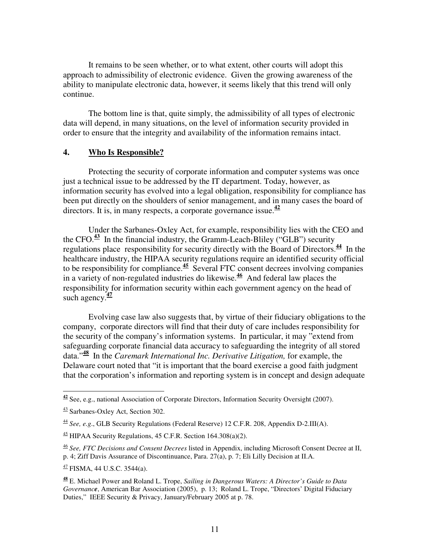It remains to be seen whether, or to what extent, other courts will adopt this approach to admissibility of electronic evidence. Given the growing awareness of the ability to manipulate electronic data, however, it seems likely that this trend will only continue.

 The bottom line is that, quite simply, the admissibility of all types of electronic data will depend, in many situations, on the level of information security provided in order to ensure that the integrity and availability of the information remains intact.

#### **4. Who Is Responsible?**

 Protecting the security of corporate information and computer systems was once just a technical issue to be addressed by the IT department. Today, however, as information security has evolved into a legal obligation, responsibility for compliance has been put directly on the shoulders of senior management, and in many cases the board of directors. It is, in many respects, a corporate governance issue.**<sup>42</sup>**

 Under the Sarbanes-Oxley Act, for example, responsibility lies with the CEO and the CFO. $\frac{43}{12}$  In the financial industry, the Gramm-Leach-Bliley ("GLB") security regulations place responsibility for security directly with the Board of Directors.**<sup>44</sup>** In the healthcare industry, the HIPAA security regulations require an identified security official to be responsibility for compliance.**<sup>45</sup>** Several FTC consent decrees involving companies in a variety of non-regulated industries do likewise.**<sup>46</sup>** And federal law places the responsibility for information security within each government agency on the head of such agency.**<sup>47</sup>**

 Evolving case law also suggests that, by virtue of their fiduciary obligations to the company, corporate directors will find that their duty of care includes responsibility for the security of the company's information systems. In particular, it may "extend from safeguarding corporate financial data accuracy to safeguarding the integrity of all stored data."**<sup>48</sup>** In the *Caremark International Inc. Derivative Litigation,* for example, the Delaware court noted that "it is important that the board exercise a good faith judgment that the corporation's information and reporting system is in concept and design adequate

 $\frac{47}{2}$  FISMA, 44 U.S.C. 3544(a).

 $\overline{a}$ **<sup>42</sup>** See, e.g., national Association of Corporate Directors, Information Security Oversight (2007).

<sup>43</sup> Sarbanes-Oxley Act, Section 302.

<sup>44</sup> *See, e.g*., GLB Security Regulations (Federal Reserve) 12 C.F.R. 208, Appendix D-2.III(A).

 $\frac{45}{2}$  HIPAA Security Regulations, 45 C.F.R. Section 164.308(a)(2).

<sup>46</sup> *See, FTC Decisions and Consent Decrees* listed in Appendix, including Microsoft Consent Decree at II, p. 4; Ziff Davis Assurance of Discontinuance, Para. 27(a), p. 7; Eli Lilly Decision at II.A.

**<sup>48</sup>** E. Michael Power and Roland L. Trope, *Sailing in Dangerous Waters: A Director's Guide to Data Governance*, American Bar Association (2005), p. 13; Roland L. Trope, "Directors' Digital Fiduciary Duties," IEEE Security & Privacy, January/February 2005 at p. 78.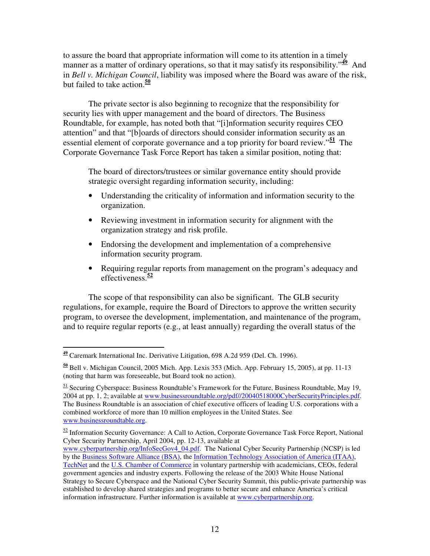to assure the board that appropriate information will come to its attention in a timely manner as a matter of ordinary operations, so that it may satisfy its responsibility."<sup>49</sup> And in *Bell v. Michigan Council*, liability was imposed where the Board was aware of the risk, but failed to take action.**<sup>50</sup>**

 The private sector is also beginning to recognize that the responsibility for security lies with upper management and the board of directors. The Business Roundtable, for example, has noted both that "[i]nformation security requires CEO attention" and that "[b]oards of directors should consider information security as an essential element of corporate governance and a top priority for board review."**<sup>51</sup>** The Corporate Governance Task Force Report has taken a similar position, noting that:

The board of directors/trustees or similar governance entity should provide strategic oversight regarding information security, including:

- Understanding the criticality of information and information security to the organization.
- Reviewing investment in information security for alignment with the organization strategy and risk profile.
- Endorsing the development and implementation of a comprehensive information security program.
- Requiring regular reports from management on the program's adequacy and effectiveness.**<sup>52</sup>**

 The scope of that responsibility can also be significant. The GLB security regulations, for example, require the Board of Directors to approve the written security program, to oversee the development, implementation, and maintenance of the program, and to require regular reports (e.g., at least annually) regarding the overall status of the

 $\overline{a}$ **<sup>49</sup>** Caremark International Inc. Derivative Litigation, 698 A.2d 959 (Del. Ch. 1996).

**<sup>50</sup>** Bell v. Michigan Council, 2005 Mich. App. Lexis 353 (Mich. App. February 15, 2005), at pp. 11-13 (noting that harm was foreseeable, but Board took no action).

 $\frac{51}{2}$  Securing Cyberspace: Business Roundtable's Framework for the Future, Business Roundtable, May 19. 2004 at pp. 1, 2; available at www.businessroundtable.org/pdf//20040518000CyberSecurityPrinciples.pdf. The Business Roundtable is an association of chief executive officers of leading U.S. corporations with a combined workforce of more than 10 million employees in the United States. See www.businessroundtable.org.

 $52$  Information Security Governance: A Call to Action, Corporate Governance Task Force Report, National Cyber Security Partnership, April 2004, pp. 12-13, available at

www.cyberpartnership.org/InfoSecGov4\_04.pdf. The National Cyber Security Partnership (NCSP) is led by the Business Software Alliance (BSA), the Information Technology Association of America (ITAA), TechNet and the U.S. Chamber of Commerce in voluntary partnership with academicians, CEOs, federal government agencies and industry experts. Following the release of the 2003 White House National Strategy to Secure Cyberspace and the National Cyber Security Summit, this public-private partnership was established to develop shared strategies and programs to better secure and enhance America's critical information infrastructure. Further information is available at www.cyberpartnership.org.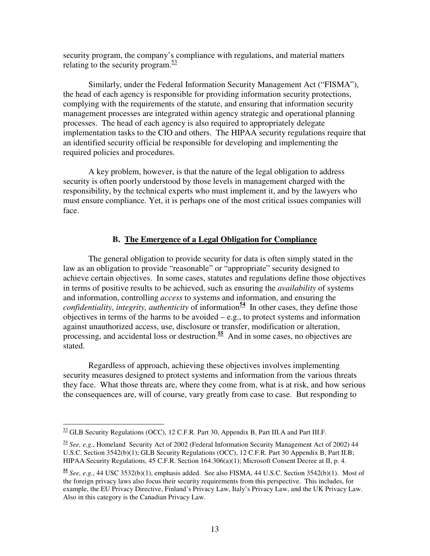security program, the company's compliance with regulations, and material matters relating to the security program.  $\frac{53}{2}$ 

 Similarly, under the Federal Information Security Management Act ("FISMA"), the head of each agency is responsible for providing information security protections, complying with the requirements of the statute, and ensuring that information security management processes are integrated within agency strategic and operational planning processes. The head of each agency is also required to appropriately delegate implementation tasks to the CIO and others. The HIPAA security regulations require that an identified security official be responsible for developing and implementing the required policies and procedures.

 A key problem, however, is that the nature of the legal obligation to address security is often poorly understood by those levels in management charged with the responsibility, by the technical experts who must implement it, and by the lawyers who must ensure compliance. Yet, it is perhaps one of the most critical issues companies will face.

### **B. The Emergence of a Legal Obligation for Compliance**

The general obligation to provide security for data is often simply stated in the law as an obligation to provide "reasonable" or "appropriate" security designed to achieve certain objectives. In some cases, statutes and regulations define those objectives in terms of positive results to be achieved, such as ensuring the *availability* of systems and information, controlling *access* to systems and information, and ensuring the *confidentiality, integrity, authenticity* of information<sup>54</sup> In other cases, they define those objectives in terms of the harms to be avoided – e.g., to protect systems and information against unauthorized access, use, disclosure or transfer, modification or alteration, processing, and accidental loss or destruction.**<sup>55</sup>** And in some cases, no objectives are stated.

 Regardless of approach, achieving these objectives involves implementing security measures designed to protect systems and information from the various threats they face. What those threats are, where they come from, what is at risk, and how serious the consequences are, will of course, vary greatly from case to case. But responding to

 $\frac{53}{52}$  GLB Security Regulations (OCC), 12 C.F.R. Part 30, Appendix B, Part III.A and Part III.F.

<sup>54</sup> *See, e.g*., Homeland Security Act of 2002 (Federal Information Security Management Act of 2002) 44 U.S.C. Section 3542(b)(1); GLB Security Regulations (OCC), 12 C.F.R. Part 30 Appendix B, Part II.B; HIPAA Security Regulations, 45 C.F.R. Section 164.306(a)(1); Microsoft Consent Decree at II, p. 4.

 $\frac{55}{12}$  *See, e.g.*, 44 USC 3532(b)(1), emphasis added. See also FISMA, 44 U.S.C. Section 3542(b)(1). Most of the foreign privacy laws also focus their security requirements from this perspective. This includes, for example, the EU Privacy Directive, Finland's Privacy Law, Italy's Privacy Law, and the UK Privacy Law. Also in this category is the Canadian Privacy Law.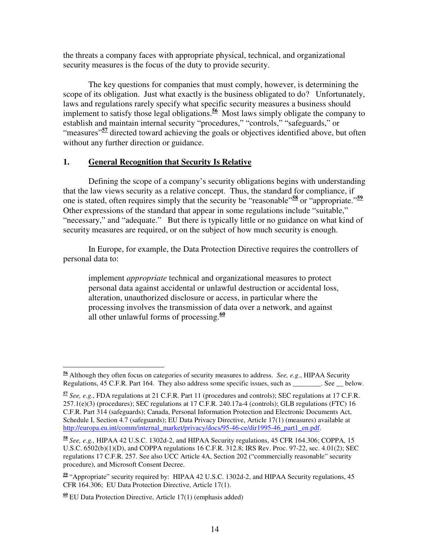the threats a company faces with appropriate physical, technical, and organizational security measures is the focus of the duty to provide security.

The key questions for companies that must comply, however, is determining the scope of its obligation. Just what exactly is the business obligated to do? Unfortunately, laws and regulations rarely specify what specific security measures a business should implement to satisfy those legal obligations.**<sup>56</sup>** Most laws simply obligate the company to establish and maintain internal security "procedures," "controls," "safeguards," or "measures"<sup>57</sup> directed toward achieving the goals or objectives identified above, but often without any further direction or guidance.

# **1. General Recognition that Security Is Relative**

Defining the scope of a company's security obligations begins with understanding that the law views security as a relative concept. Thus, the standard for compliance, if one is stated, often requires simply that the security be "reasonable"**<sup>58</sup>** or "appropriate."**<sup>59</sup>** Other expressions of the standard that appear in some regulations include "suitable," "necessary," and "adequate." But there is typically little or no guidance on what kind of security measures are required, or on the subject of how much security is enough.

In Europe, for example, the Data Protection Directive requires the controllers of personal data to:

implement *appropriate* technical and organizational measures to protect personal data against accidental or unlawful destruction or accidental loss, alteration, unauthorized disclosure or access, in particular where the processing involves the transmission of data over a network, and against all other unlawful forms of processing.**<sup>60</sup>**

 $\overline{a}$ **<sup>56</sup>** Although they often focus on categories of security measures to address. *See, e.g*., HIPAA Security Regulations, 45 C.F.R. Part 164. They also address some specific issues, such as \_\_\_\_\_\_\_. See \_\_ below.

**<sup>57</sup>** *See, e.g*., FDA regulations at 21 C.F.R. Part 11 (procedures and controls); SEC regulations at 17 C.F.R.  $257.1(e)(3)$  (procedures); SEC regulations at 17 C.F.R. 240.17a-4 (controls); GLB regulations (FTC) 16 C.F.R. Part 314 (safeguards); Canada, Personal Information Protection and Electronic Documents Act, Schedule I, Section 4.7 (safeguards); EU Data Privacy Directive, Article 17(1) (measures) available at http://europa.eu.int/comm/internal\_market/privacy/docs/95-46-ce/dir1995-46\_part1\_en.pdf.

**<sup>58</sup>** *See, e.g.,* HIPAA 42 U.S.C. 1302d-2, and HIPAA Security regulations, 45 CFR 164.306; COPPA, 15 U.S.C. 6502(b)(1)(D), and COPPA regulations 16 C.F.R. 312.8; IRS Rev. Proc. 97-22, sec. 4.01(2); SEC regulations 17 C.F.R. 257. See also UCC Article 4A, Section 202 ("commercially reasonable" security procedure), and Microsoft Consent Decree.

**<sup>59</sup>** "Appropriate" security required by: HIPAA 42 U.S.C. 1302d-2, and HIPAA Security regulations, 45 CFR 164.306; EU Data Protection Directive, Article 17(1).

**<sup>60</sup>** EU Data Protection Directive, Article 17(1) (emphasis added)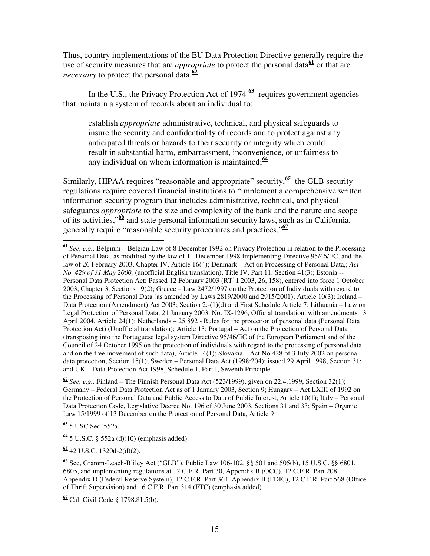Thus, country implementations of the EU Data Protection Directive generally require the use of security measures that are *appropriate* to protect the personal data**<sup>61</sup>** or that are *necessary* to protect the personal data.**<sup>62</sup>**

In the U.S., the Privacy Protection Act of  $1974 \frac{63}{2}$  requires government agencies that maintain a system of records about an individual to:

establish *appropriate* administrative, technical, and physical safeguards to insure the security and confidentiality of records and to protect against any anticipated threats or hazards to their security or integrity which could result in substantial harm, embarrassment, inconvenience, or unfairness to any individual on whom information is maintained; $\frac{64}{64}$ 

Similarly, HIPAA requires "reasonable and appropriate" security,**<sup>65</sup>** the GLB security regulations require covered financial institutions to "implement a comprehensive written information security program that includes administrative, technical, and physical safeguards *appropriate* to the size and complexity of the bank and the nature and scope of its activities,"**<sup>66</sup>** and state personal information security laws, such as in California, generally require "reasonable security procedures and practices."**<sup>67</sup>**

 $\frac{62}{2}$  *See, e.g.*, Finland – The Finnish Personal Data Act (523/1999), given on 22.4.1999, Section 32(1); Germany – Federal Data Protection Act as of 1 January 2003, Section 9; Hungary – Act LXIII of 1992 on the Protection of Personal Data and Public Access to Data of Public Interest, Article 10(1); Italy – Personal Data Protection Code, Legislative Decree No. 196 of 30 June 2003, Sections 31 and 33; Spain – Organic Law 15/1999 of 13 December on the Protection of Personal Data, Article 9

**<sup>63</sup>** 5 USC Sec. 552a.

 $\overline{a}$ 

 $\frac{64}{2}$  5 U.S.C. § 552a (d)(10) (emphasis added).

**<sup>65</sup>** 42 U.S.C. 1320d-2(d)(2).

**<sup>67</sup>** Cal. Civil Code § 1798.81.5(b).

**<sup>61</sup>** *See, e.g.,* Belgium – Belgian Law of 8 December 1992 on Privacy Protection in relation to the Processing of Personal Data, as modified by the law of 11 December 1998 Implementing Directive 95/46/EC, and the law of 26 February 2003, Chapter IV, Article 16(4); Denmark – Act on Processing of Personal Data,; *Act No. 429 of 31 May 2000,* (unofficial English translation), Title IV, Part 11, Section 41(3); Estonia -- Personal Data Protection Act; Passed 12 February 2003 ( $RT<sup>1</sup>$  I 2003, 26, 158), entered into force 1 October 2003, Chapter 3, Sections 19(2); Greece – Law 2472/1997 on the Protection of Individuals with regard to the Processing of Personal Data (as amended by Laws 2819/2000 and 2915/2001); Article 10(3); Ireland – Data Protection (Amendment) Act 2003; Section 2.-(1)(d) and First Schedule Article 7; Lithuania – Law on Legal Protection of Personal Data, 21 January 2003, No. IX-1296, Official translation, with amendments 13 April 2004, Article 24(1); Netherlands – 25 892 - Rules for the protection of personal data (Personal Data Protection Act) (Unofficial translation); Article 13; Portugal – Act on the Protection of Personal Data (transposing into the Portuguese legal system Directive 95/46/EC of the European Parliament and of the Council of 24 October 1995 on the protection of individuals with regard to the processing of personal data and on the free movement of such data), Article 14(1); Slovakia – Act No 428 of 3 July 2002 on personal data protection; Section 15(1); Sweden – Personal Data Act (1998:204); issued 29 April 1998, Section 31; and UK – Data Protection Act 1998, Schedule 1, Part I, Seventh Principle

**<sup>66</sup>** See, Gramm-Leach-Bliley Act ("GLB"), Public Law 106-102, §§ 501 and 505(b), 15 U.S.C. §§ 6801, 6805, and implementing regulations at 12 C.F.R. Part 30, Appendix B (OCC), 12 C.F.R. Part 208, Appendix D (Federal Reserve System), 12 C.F.R. Part 364, Appendix B (FDIC), 12 C.F.R. Part 568 (Office of Thrift Supervision) and 16 C.F.R. Part 314 (FTC) (emphasis added).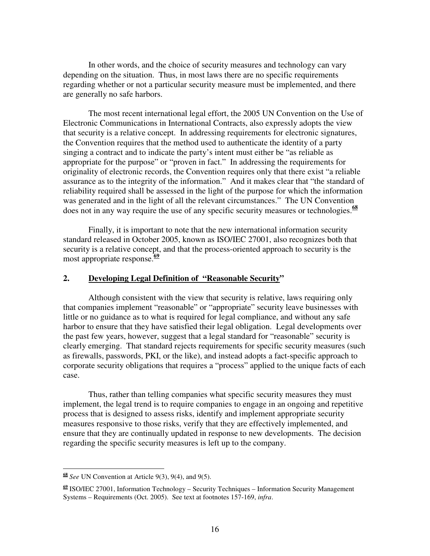In other words, and the choice of security measures and technology can vary depending on the situation. Thus, in most laws there are no specific requirements regarding whether or not a particular security measure must be implemented, and there are generally no safe harbors.

The most recent international legal effort, the 2005 UN Convention on the Use of Electronic Communications in International Contracts, also expressly adopts the view that security is a relative concept. In addressing requirements for electronic signatures, the Convention requires that the method used to authenticate the identity of a party singing a contract and to indicate the party's intent must either be "as reliable as appropriate for the purpose" or "proven in fact." In addressing the requirements for originality of electronic records, the Convention requires only that there exist "a reliable assurance as to the integrity of the information." And it makes clear that "the standard of reliability required shall be assessed in the light of the purpose for which the information was generated and in the light of all the relevant circumstances." The UN Convention does not in any way require the use of any specific security measures or technologies.**<sup>68</sup>**

Finally, it is important to note that the new international information security standard released in October 2005, known as ISO/IEC 27001, also recognizes both that security is a relative concept, and that the process-oriented approach to security is the most appropriate response.**<sup>69</sup>**

#### **2. Developing Legal Definition of "Reasonable Security"**

Although consistent with the view that security is relative, laws requiring only that companies implement "reasonable" or "appropriate" security leave businesses with little or no guidance as to what is required for legal compliance, and without any safe harbor to ensure that they have satisfied their legal obligation. Legal developments over the past few years, however, suggest that a legal standard for "reasonable" security is clearly emerging. That standard rejects requirements for specific security measures (such as firewalls, passwords, PKI, or the like), and instead adopts a fact-specific approach to corporate security obligations that requires a "process" applied to the unique facts of each case.

 Thus, rather than telling companies what specific security measures they must implement, the legal trend is to require companies to engage in an ongoing and repetitive process that is designed to assess risks, identify and implement appropriate security measures responsive to those risks, verify that they are effectively implemented, and ensure that they are continually updated in response to new developments. The decision regarding the specific security measures is left up to the company.

**<sup>68</sup>** *See* UN Convention at Article 9(3), 9(4), and 9(5).

**<sup>69</sup>** ISO/IEC 27001, Information Technology – Security Techniques – Information Security Management Systems – Requirements (Oct. 2005). See text at footnotes 157-169, *infra*.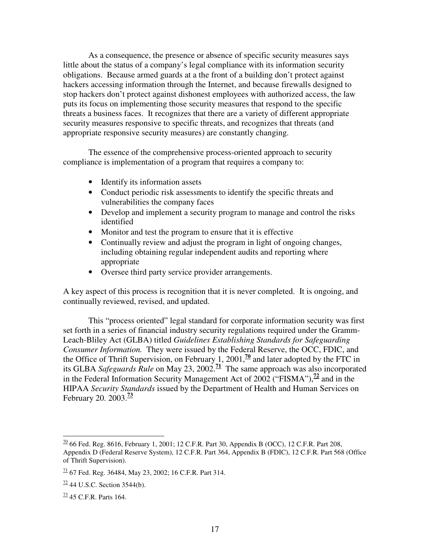As a consequence, the presence or absence of specific security measures says little about the status of a company's legal compliance with its information security obligations. Because armed guards at a the front of a building don't protect against hackers accessing information through the Internet, and because firewalls designed to stop hackers don't protect against dishonest employees with authorized access, the law puts its focus on implementing those security measures that respond to the specific threats a business faces. It recognizes that there are a variety of different appropriate security measures responsive to specific threats, and recognizes that threats (and appropriate responsive security measures) are constantly changing.

 The essence of the comprehensive process-oriented approach to security compliance is implementation of a program that requires a company to:

- Identify its information assets
- Conduct periodic risk assessments to identify the specific threats and vulnerabilities the company faces
- Develop and implement a security program to manage and control the risks identified
- Monitor and test the program to ensure that it is effective
- Continually review and adjust the program in light of ongoing changes, including obtaining regular independent audits and reporting where appropriate
- Oversee third party service provider arrangements.

A key aspect of this process is recognition that it is never completed. It is ongoing, and continually reviewed, revised, and updated.

 This "process oriented" legal standard for corporate information security was first set forth in a series of financial industry security regulations required under the Gramm-Leach-Bliley Act (GLBA) titled *Guidelines Establishing Standards for Safeguarding Consumer Information.* They were issued by the Federal Reserve, the OCC, FDIC, and the Office of Thrift Supervision, on February 1, 2001,**<sup>70</sup>** and later adopted by the FTC in its GLBA *Safeguards Rule* on May 23, 2002.**<sup>71</sup>** The same approach was also incorporated in the Federal Information Security Management Act of 2002 ("FISMA"),**<sup>72</sup>** and in the HIPAA *Security Standards* issued by the Department of Health and Human Services on February 20. 2003.**<sup>73</sup>**

 $\frac{70}{10}$  66 Fed. Reg. 8616, February 1, 2001; 12 C.F.R. Part 30, Appendix B (OCC), 12 C.F.R. Part 208, Appendix D (Federal Reserve System), 12 C.F.R. Part 364, Appendix B (FDIC), 12 C.F.R. Part 568 (Office of Thrift Supervision).

 $\frac{71}{10}$  67 Fed. Reg. 36484, May 23, 2002; 16 C.F.R. Part 314.

 $\frac{72}{44}$  U.S.C. Section 3544(b).

 $\frac{73}{2}$  45 C.F.R. Parts 164.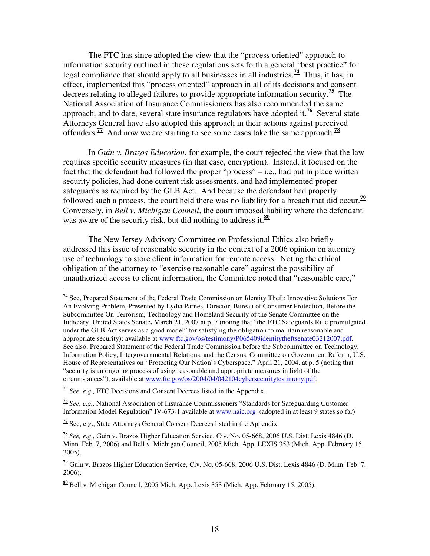The FTC has since adopted the view that the "process oriented" approach to information security outlined in these regulations sets forth a general "best practice" for legal compliance that should apply to all businesses in all industries.**<sup>74</sup>** Thus, it has, in effect, implemented this "process oriented" approach in all of its decisions and consent decrees relating to alleged failures to provide appropriate information security.**<sup>75</sup>** The National Association of Insurance Commissioners has also recommended the same approach, and to date, several state insurance regulators have adopted it.**<sup>76</sup>** Several state Attorneys General have also adopted this approach in their actions against perceived offenders.**<sup>77</sup>** And now we are starting to see some cases take the same approach.**<sup>78</sup>**

In *Guin v. Brazos Education*, for example, the court rejected the view that the law requires specific security measures (in that case, encryption). Instead, it focused on the fact that the defendant had followed the proper "process" – i.e., had put in place written security policies, had done current risk assessments, and had implemented proper safeguards as required by the GLB Act. And because the defendant had properly followed such a process, the court held there was no liability for a breach that did occur.**<sup>79</sup>** Conversely, in *Bell v. Michigan Council*, the court imposed liability where the defendant was aware of the security risk, but did nothing to address it.**<sup>80</sup>**

The New Jersey Advisory Committee on Professional Ethics also briefly addressed this issue of reasonable security in the context of a 2006 opinion on attorney use of technology to store client information for remote access. Noting the ethical obligation of the attorney to "exercise reasonable care" against the possibility of unauthorized access to client information, the Committee noted that "reasonable care,"

 $\frac{74}{4}$  See, Prepared Statement of the Federal Trade Commission on Identity Theft: Innovative Solutions For An Evolving Problem, Presented by Lydia Parnes, Director, Bureau of Consumer Protection, Before the Subcommittee On Terrorism, Technology and Homeland Security of the Senate Committee on the Judiciary, United States Senate**,** March 21, 2007 at p. 7 (noting that "the FTC Safeguards Rule promulgated under the GLB Act serves as a good model" for satisfying the obligation to maintain reasonable and appropriate security); available at www.ftc.gov/os/testimony/P065409identitytheftsenate03212007.pdf. See also, Prepared Statement of the Federal Trade Commission before the Subcommittee on Technology, Information Policy, Intergovernmental Relations, and the Census, Committee on Government Reform, U.S. House of Representatives on "Protecting Our Nation's Cyberspace," April 21, 2004, at p. 5 (noting that "security is an ongoing process of using reasonable and appropriate measures in light of the circumstances"), available at www.ftc.gov/os/2004/04/042104cybersecuritytestimony.pdf.

<sup>75</sup> *See, e.g.,* FTC Decisions and Consent Decrees listed in the Appendix.

<sup>76</sup> *See, e.g.,* National Association of Insurance Commissioners "Standards for Safeguarding Customer Information Model Regulation" IV-673-1 available at www.naic.org (adopted in at least 9 states so far)

 $\frac{77}{12}$  See, e.g., State Attorneys General Consent Decrees listed in the Appendix

**<sup>78</sup>** *See, e.g*., Guin v. Brazos Higher Education Service, Civ. No. 05-668, 2006 U.S. Dist. Lexis 4846 (D. Minn. Feb. 7, 2006) and Bell v. Michigan Council, 2005 Mich. App. LEXIS 353 (Mich. App. February 15, 2005).

**<sup>79</sup>** Guin v. Brazos Higher Education Service, Civ. No. 05-668, 2006 U.S. Dist. Lexis 4846 (D. Minn. Feb. 7, 2006).

**<sup>80</sup>** Bell v. Michigan Council, 2005 Mich. App. Lexis 353 (Mich. App. February 15, 2005).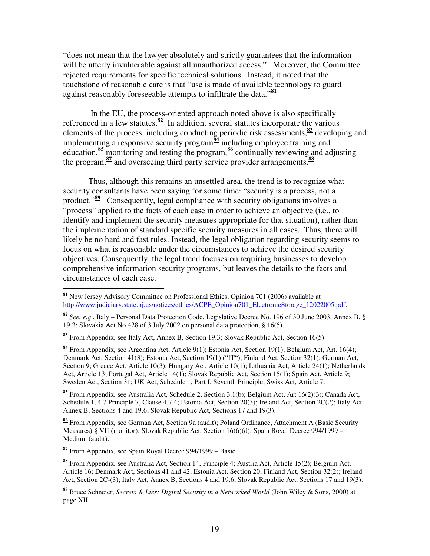"does not mean that the lawyer absolutely and strictly guarantees that the information will be utterly invulnerable against all unauthorized access." Moreover, the Committee rejected requirements for specific technical solutions. Instead, it noted that the touchstone of reasonable care is that "use is made of available technology to guard against reasonably foreseeable attempts to infiltrate the data."**<sup>81</sup>**

 In the EU, the process-oriented approach noted above is also specifically referenced in a few statutes. $\frac{82}{ }$  In addition, several statutes incorporate the various elements of the process, including conducting periodic risk assessments,**<sup>83</sup>** developing and implementing a responsive security program**<sup>84</sup>** including employee training and education,**<sup>85</sup>** monitoring and testing the program,**<sup>86</sup>** continually reviewing and adjusting the program,**<sup>87</sup>** and overseeing third party service provider arrangements.**<sup>88</sup>**

Thus, although this remains an unsettled area, the trend is to recognize what security consultants have been saying for some time: "security is a process, not a product."**<sup>89</sup>** Consequently, legal compliance with security obligations involves a "process" applied to the facts of each case in order to achieve an objective (i.e., to identify and implement the security measures appropriate for that situation), rather than the implementation of standard specific security measures in all cases. Thus, there will likely be no hard and fast rules. Instead, the legal obligation regarding security seems to focus on what is reasonable under the circumstances to achieve the desired security objectives. Consequently, the legal trend focuses on requiring businesses to develop comprehensive information security programs, but leaves the details to the facts and circumstances of each case.

**<sup>84</sup>** From Appendix*,* see Argentina Act, Article 9(1); Estonia Act, Section 19(1); Belgium Act, Art. 16(4); Denmark Act, Section 41(3); Estonia Act, Section 19(1) ("IT"); Finland Act, Section 32(1); German Act, Section 9; Greece Act, Article 10(3); Hungary Act, Article 10(1); Lithuania Act, Article 24(1); Netherlands Act, Article 13; Portugal Act, Article 14(1); Slovak Republic Act, Section 15(1); Spain Act, Article 9; Sweden Act, Section 31; UK Act, Schedule 1, Part I, Seventh Principle; Swiss Act, Article 7.

**<sup>85</sup>** From Appendix*,* see Australia Act, Schedule 2, Section 3.1(b); Belgium Act, Art 16(2)(3); Canada Act, Schedule 1, 4.7 Principle 7, Clause 4.7.4; Estonia Act, Section 20(3); Ireland Act, Section 2C(2); Italy Act, Annex B, Sections 4 and 19.6; Slovak Republic Act, Sections 17 and 19(3).

**<sup>86</sup>** From Appendix*,* see German Act, Section 9a (audit); Poland Ordinance, Attachment A (Basic Security Measures) § VII (monitor); Slovak Republic Act, Section 16(6)(d); Spain Royal Decree 994/1999 – Medium (audit).

**<sup>87</sup>** From Appendix*,* see Spain Royal Decree 994/1999 – Basic.

**<sup>81</sup>** New Jersey Advisory Committee on Professional Ethics, Opinion 701 (2006) available at http://www.judiciary.state.nj.us/notices/ethics/ACPE\_Opinion701\_ElectronicStorage\_12022005.pdf.

**<sup>82</sup>** *See, e.g*., Italy – Personal Data Protection Code, Legislative Decree No. 196 of 30 June 2003, Annex B, § 19.3; Slovakia Act No 428 of 3 July 2002 on personal data protection, § 16(5).

**<sup>83</sup>** From Appendix*,* see Italy Act, Annex B, Section 19.3; Slovak Republic Act, Section 16(5)

**<sup>88</sup>** From Appendix*,* see Australia Act, Section 14, Principle 4; Austria Act, Article 15(2); Belgium Act, Article 16; Denmark Act, Sections 41 and 42; Estonia Act, Section 20; Finland Act, Section 32(2); Ireland Act, Section 2C-(3); Italy Act, Annex B, Sections 4 and 19.6; Slovak Republic Act, Sections 17 and 19(3).

**<sup>89</sup>** Bruce Schneier, *Secrets & Lies: Digital Security in a Networked World* (John Wiley & Sons, 2000) at page XII.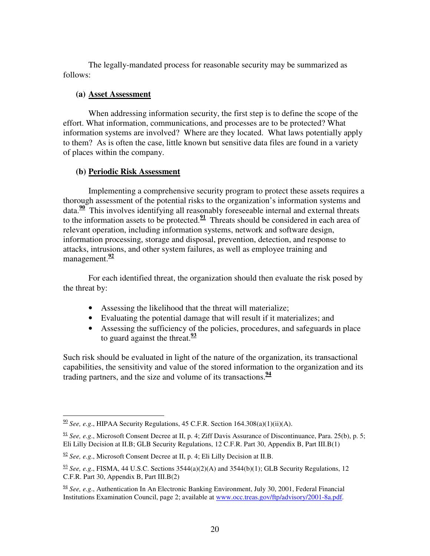The legally-mandated process for reasonable security may be summarized as follows:

#### **(a) Asset Assessment**

 When addressing information security, the first step is to define the scope of the effort. What information, communications, and processes are to be protected? What information systems are involved? Where are they located. What laws potentially apply to them? As is often the case, little known but sensitive data files are found in a variety of places within the company.

#### **(b) Periodic Risk Assessment**

 Implementing a comprehensive security program to protect these assets requires a thorough assessment of the potential risks to the organization's information systems and data.**<sup>90</sup>** This involves identifying all reasonably foreseeable internal and external threats to the information assets to be protected.**<sup>91</sup>** Threats should be considered in each area of relevant operation, including information systems, network and software design, information processing, storage and disposal, prevention, detection, and response to attacks, intrusions, and other system failures, as well as employee training and management.**<sup>92</sup>**

 For each identified threat, the organization should then evaluate the risk posed by the threat by:

- Assessing the likelihood that the threat will materialize;
- Evaluating the potential damage that will result if it materializes; and
- Assessing the sufficiency of the policies, procedures, and safeguards in place to guard against the threat.**<sup>93</sup>**

Such risk should be evaluated in light of the nature of the organization, its transactional capabilities, the sensitivity and value of the stored information to the organization and its trading partners, and the size and volume of its transactions.**<sup>94</sup>**

 $\overline{a}$  $\frac{90}{90}$  *See, e.g.*, HIPAA Security Regulations, 45 C.F.R. Section 164.308(a)(1)(ii)(A).

<sup>91</sup> *See, e.g*., Microsoft Consent Decree at II, p. 4; Ziff Davis Assurance of Discontinuance, Para. 25(b), p. 5; Eli Lilly Decision at II.B; GLB Security Regulations, 12 C.F.R. Part 30, Appendix B, Part III.B(1)

<sup>92</sup> *See, e.g*., Microsoft Consent Decree at II, p. 4; Eli Lilly Decision at II.B.

 $\frac{93}{2}$  *See, e.g.*, FISMA, 44 U.S.C. Sections 3544(a)(2)(A) and 3544(b)(1); GLB Security Regulations, 12 C.F.R. Part 30, Appendix B, Part III.B(2)

<sup>94</sup> *See, e.g*., Authentication In An Electronic Banking Environment, July 30, 2001, Federal Financial Institutions Examination Council, page 2; available at www.occ.treas.gov/ftp/advisory/2001-8a.pdf.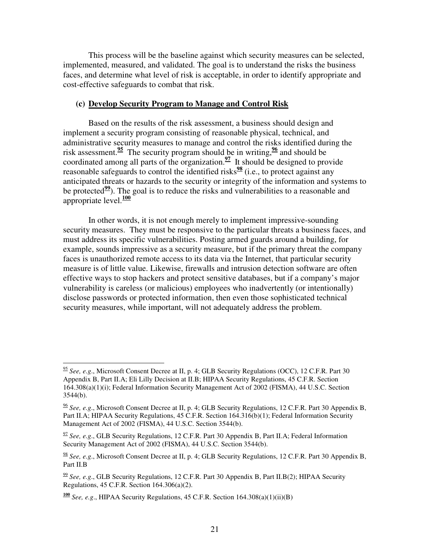This process will be the baseline against which security measures can be selected, implemented, measured, and validated. The goal is to understand the risks the business faces, and determine what level of risk is acceptable, in order to identify appropriate and cost-effective safeguards to combat that risk.

#### **(c) Develop Security Program to Manage and Control Risk**

 Based on the results of the risk assessment, a business should design and implement a security program consisting of reasonable physical, technical, and administrative security measures to manage and control the risks identified during the risk assessment.**<sup>95</sup>** The security program should be in writing,**<sup>96</sup>** and should be coordinated among all parts of the organization.<sup>97</sup> It should be designed to provide reasonable safeguards to control the identified risks**<sup>98</sup>** (i.e., to protect against any anticipated threats or hazards to the security or integrity of the information and systems to be protected**<sup>99</sup>**). The goal is to reduce the risks and vulnerabilities to a reasonable and appropriate level.**<sup>100</sup>**

 In other words, it is not enough merely to implement impressive-sounding security measures. They must be responsive to the particular threats a business faces, and must address its specific vulnerabilities. Posting armed guards around a building, for example, sounds impressive as a security measure, but if the primary threat the company faces is unauthorized remote access to its data via the Internet, that particular security measure is of little value. Likewise, firewalls and intrusion detection software are often effective ways to stop hackers and protect sensitive databases, but if a company's major vulnerability is careless (or malicious) employees who inadvertently (or intentionally) disclose passwords or protected information, then even those sophisticated technical security measures, while important, will not adequately address the problem.

<sup>95</sup> *See, e.g*., Microsoft Consent Decree at II, p. 4; GLB Security Regulations (OCC), 12 C.F.R. Part 30 Appendix B, Part II.A; Eli Lilly Decision at II.B; HIPAA Security Regulations, 45 C.F.R. Section 164.308(a)(1)(i); Federal Information Security Management Act of 2002 (FISMA), 44 U.S.C. Section 3544(b).

<sup>96</sup> *See, e.g*., Microsoft Consent Decree at II, p. 4; GLB Security Regulations, 12 C.F.R. Part 30 Appendix B, Part II.A; HIPAA Security Regulations, 45 C.F.R. Section 164.316(b)(1); Federal Information Security Management Act of 2002 (FISMA), 44 U.S.C. Section 3544(b).

<sup>97</sup> *See, e.g*., GLB Security Regulations, 12 C.F.R. Part 30 Appendix B, Part II.A; Federal Information Security Management Act of 2002 (FISMA), 44 U.S.C. Section 3544(b).

<sup>98</sup> *See, e.g*., Microsoft Consent Decree at II, p. 4; GLB Security Regulations, 12 C.F.R. Part 30 Appendix B, Part II.B

<sup>99</sup> *See, e.g*., GLB Security Regulations, 12 C.F.R. Part 30 Appendix B, Part II.B(2); HIPAA Security Regulations,  $45$  C.F.R. Section  $164.306(a)(2)$ .

**<sup>100</sup>** *See, e.g*., HIPAA Security Regulations, 45 C.F.R. Section 164.308(a)(1)(ii)(B)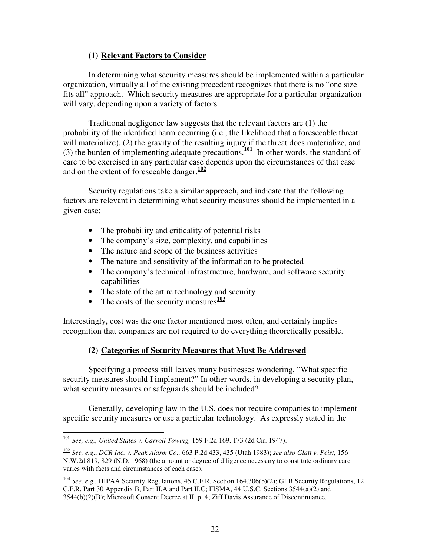### **(1) Relevant Factors to Consider**

In determining what security measures should be implemented within a particular organization, virtually all of the existing precedent recognizes that there is no "one size fits all" approach. Which security measures are appropriate for a particular organization will vary, depending upon a variety of factors.

 Traditional negligence law suggests that the relevant factors are (1) the probability of the identified harm occurring (i.e., the likelihood that a foreseeable threat will materialize), (2) the gravity of the resulting injury if the threat does materialize, and  $(3)$  the burden of implementing adequate precautions.<sup>101</sup> In other words, the standard of care to be exercised in any particular case depends upon the circumstances of that case and on the extent of foreseeable danger.**<sup>102</sup>**

 Security regulations take a similar approach, and indicate that the following factors are relevant in determining what security measures should be implemented in a given case:

- The probability and criticality of potential risks
- The company's size, complexity, and capabilities
- The nature and scope of the business activities
- The nature and sensitivity of the information to be protected
- The company's technical infrastructure, hardware, and software security capabilities
- The state of the art re technology and security
- The costs of the security measures<sup>103</sup>

Interestingly, cost was the one factor mentioned most often, and certainly implies recognition that companies are not required to do everything theoretically possible.

## **(2) Categories of Security Measures that Must Be Addressed**

 Specifying a process still leaves many businesses wondering, "What specific security measures should I implement?" In other words, in developing a security plan, what security measures or safeguards should be included?

 Generally, developing law in the U.S. does not require companies to implement specific security measures or use a particular technology. As expressly stated in the

**<sup>101</sup>** *See, e.g., United States v. Carroll Towing,* 159 F.2d 169, 173 (2d Cir. 1947).

**<sup>102</sup>** *See, e.g*., *DCR Inc. v. Peak Alarm Co.,* 663 P.2d 433, 435 (Utah 1983); *see also Glatt v. Feist,* 156 N.W.2d 819, 829 (N.D. 1968) (the amount or degree of diligence necessary to constitute ordinary care varies with facts and circumstances of each case).

**<sup>103</sup>** *See, e.g.,* HIPAA Security Regulations, 45 C.F.R. Section 164.306(b)(2); GLB Security Regulations, 12 C.F.R. Part 30 Appendix B, Part II.A and Part II.C; FISMA, 44 U.S.C. Sections 3544(a)(2) and 3544(b)(2)(B); Microsoft Consent Decree at II, p. 4; Ziff Davis Assurance of Discontinuance.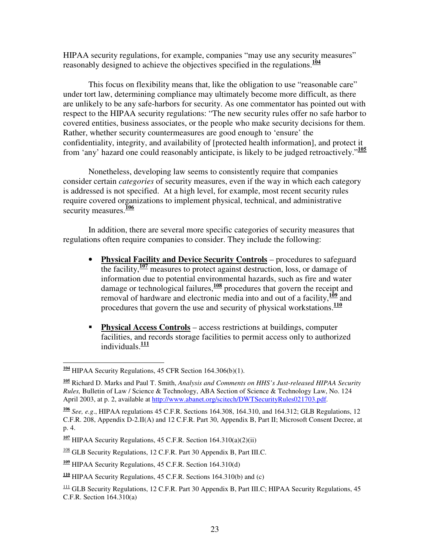HIPAA security regulations, for example, companies "may use any security measures" reasonably designed to achieve the objectives specified in the regulations.**<sup>104</sup>**

 This focus on flexibility means that, like the obligation to use "reasonable care" under tort law, determining compliance may ultimately become more difficult, as there are unlikely to be any safe-harbors for security. As one commentator has pointed out with respect to the HIPAA security regulations: "The new security rules offer no safe harbor to covered entities, business associates, or the people who make security decisions for them. Rather, whether security countermeasures are good enough to 'ensure' the confidentiality, integrity, and availability of [protected health information], and protect it from 'any' hazard one could reasonably anticipate, is likely to be judged retroactively."**<sup>105</sup>**

 Nonetheless, developing law seems to consistently require that companies consider certain *categories* of security measures, even if the way in which each category is addressed is not specified. At a high level, for example, most recent security rules require covered organizations to implement physical, technical, and administrative security measures.<sup>106</sup>

 In addition, there are several more specific categories of security measures that regulations often require companies to consider. They include the following:

- **Physical Facility and Device Security Controls** procedures to safeguard the facility,**<sup>107</sup>** measures to protect against destruction, loss, or damage of information due to potential environmental hazards, such as fire and water damage or technological failures,**<sup>108</sup>** procedures that govern the receipt and removal of hardware and electronic media into and out of a facility,**<sup>109</sup>** and procedures that govern the use and security of physical workstations.**<sup>110</sup>**
- **Physical Access Controls** access restrictions at buildings, computer facilities, and records storage facilities to permit access only to authorized individuals.**<sup>111</sup>**

**<sup>104</sup>** HIPAA Security Regulations, 45 CFR Section 164.306(b)(1).

**<sup>105</sup>** Richard D. Marks and Paul T. Smith, *Analysis and Comments on HHS's Just-released HIPAA Security Rules,* Bulletin of Law / Science & Technology, ABA Section of Science & Technology Law, No. 124 April 2003, at p. 2, available at http://www.abanet.org/scitech/DWTSecurityRules021703.pdf.

**<sup>106</sup>** *See, e.g*., HIPAA regulations 45 C.F.R. Sections 164.308, 164.310, and 164.312; GLB Regulations, 12 C.F.R. 208, Appendix D-2.II(A) and 12 C.F.R. Part 30, Appendix B, Part II; Microsoft Consent Decree, at p. 4.

**<sup>107</sup>** HIPAA Security Regulations, 45 C.F.R. Section 164.310(a)(2)(ii)

 $\frac{108}{108}$  GLB Security Regulations, 12 C.F.R. Part 30 Appendix B, Part III.C.

**<sup>109</sup>** HIPAA Security Regulations, 45 C.F.R. Section 164.310(d)

**<sup>110</sup>** HIPAA Security Regulations, 45 C.F.R. Sections 164.310(b) and (c)

 $\frac{111}{111}$  GLB Security Regulations, 12 C.F.R. Part 30 Appendix B, Part III.C; HIPAA Security Regulations, 45 C.F.R. Section 164.310(a)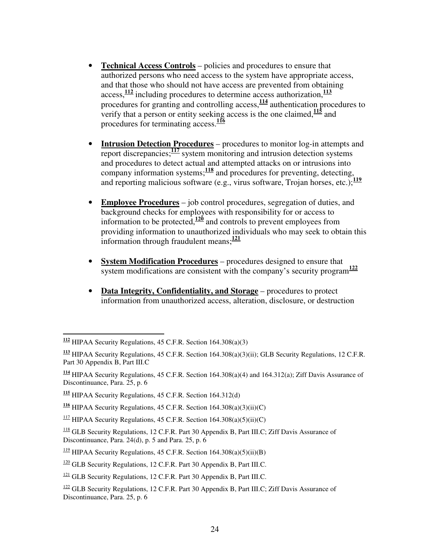- **Technical Access Controls** policies and procedures to ensure that authorized persons who need access to the system have appropriate access, and that those who should not have access are prevented from obtaining access,**<sup>112</sup>** including procedures to determine access authorization,**<sup>113</sup>** procedures for granting and controlling access,**<sup>114</sup>** authentication procedures to verify that a person or entity seeking access is the one claimed,**<sup>115</sup>** and procedures for terminating access.**<sup>116</sup>**
- **Intrusion Detection Procedures** procedures to monitor log-in attempts and report discrepancies;<sup>117</sup> system monitoring and intrusion detection systems and procedures to detect actual and attempted attacks on or intrusions into company information systems;**<sup>118</sup>** and procedures for preventing, detecting, and reporting malicious software (e.g., virus software, Trojan horses, etc.);**<sup>119</sup>**
- **Employee Procedures** job control procedures, segregation of duties, and background checks for employees with responsibility for or access to information to be protected,**<sup>120</sup>** and controls to prevent employees from providing information to unauthorized individuals who may seek to obtain this information through fraudulent means;**<sup>121</sup>**
- **System Modification Procedures** procedures designed to ensure that system modifications are consistent with the company's security program<sup>122</sup>
- **Data Integrity, Confidentiality, and Storage** procedures to protect information from unauthorized access, alteration, disclosure, or destruction

 $\overline{a}$ **<sup>112</sup>** HIPAA Security Regulations, 45 C.F.R. Section 164.308(a)(3)

**<sup>113</sup>** HIPAA Security Regulations, 45 C.F.R. Section 164.308(a)(3)(ii); GLB Security Regulations, 12 C.F.R. Part 30 Appendix B, Part III.C

**<sup>114</sup>** HIPAA Security Regulations, 45 C.F.R. Section 164.308(a)(4) and 164.312(a); Ziff Davis Assurance of Discontinuance, Para. 25, p. 6

**<sup>115</sup>** HIPAA Security Regulations, 45 C.F.R. Section 164.312(d)

**<sup>116</sup>** HIPAA Security Regulations, 45 C.F.R. Section 164.308(a)(3)(ii)(C)

 $\frac{117}{2}$  HIPAA Security Regulations, 45 C.F.R. Section 164.308(a)(5)(ii)(C)

<sup>&</sup>lt;sup>118</sup> GLB Security Regulations, 12 C.F.R. Part 30 Appendix B, Part III.C; Ziff Davis Assurance of Discontinuance, Para. 24(d), p. 5 and Para. 25, p. 6

 $\frac{119}{119}$  HIPAA Security Regulations, 45 C.F.R. Section 164.308(a)(5)(ii)(B)

 $\frac{120}{2}$  GLB Security Regulations, 12 C.F.R. Part 30 Appendix B, Part III.C.

 $121$  GLB Security Regulations, 12 C.F.R. Part 30 Appendix B, Part III.C.

 $122$  GLB Security Regulations, 12 C.F.R. Part 30 Appendix B, Part III.C; Ziff Davis Assurance of Discontinuance, Para. 25, p. 6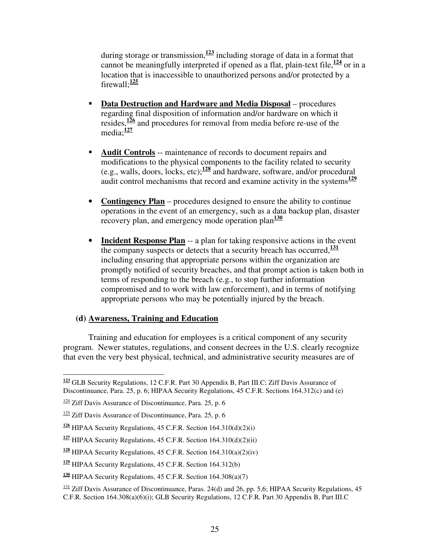during storage or transmission,**<sup>123</sup>** including storage of data in a format that cannot be meaningfully interpreted if opened as a flat, plain-text file,  $\frac{124}{124}$  or in a location that is inaccessible to unauthorized persons and/or protected by a firewall; $\frac{125}{2}$ 

- **Data Destruction and Hardware and Media Disposal** procedures regarding final disposition of information and/or hardware on which it resides,**<sup>126</sup>** and procedures for removal from media before re-use of the media; $\frac{127}{2}$
- **Audit Controls** -- maintenance of records to document repairs and modifications to the physical components to the facility related to security (e.g., walls, doors, locks, etc);**<sup>128</sup>** and hardware, software, and/or procedural audit control mechanisms that record and examine activity in the systems<sup>129</sup>
- **Contingency Plan** procedures designed to ensure the ability to continue operations in the event of an emergency, such as a data backup plan, disaster recovery plan, and emergency mode operation plan**<sup>130</sup>**
- **Incident Response Plan** -- a plan for taking responsive actions in the event the company suspects or detects that a security breach has occurred,**<sup>131</sup>**  including ensuring that appropriate persons within the organization are promptly notified of security breaches, and that prompt action is taken both in terms of responding to the breach (e.g., to stop further information compromised and to work with law enforcement), and in terms of notifying appropriate persons who may be potentially injured by the breach.

## **(d) Awareness, Training and Education**

 Training and education for employees is a critical component of any security program. Newer statutes, regulations, and consent decrees in the U.S. clearly recognize that even the very best physical, technical, and administrative security measures are of

 $\overline{a}$ **<sup>123</sup>** GLB Security Regulations, 12 C.F.R. Part 30 Appendix B, Part III.C; Ziff Davis Assurance of Discontinuance, Para. 25, p. 6; HIPAA Security Regulations, 45 C.F.R. Sections 164.312(c) and (e)

 $\frac{124}{2}$  Ziff Davis Assurance of Discontinuance, Para. 25, p. 6

 $\frac{125}{2}$  Ziff Davis Assurance of Discontinuance, Para. 25, p. 6

**<sup>126</sup>** HIPAA Security Regulations, 45 C.F.R. Section 164.310(d)(2)(i)

**<sup>127</sup>** HIPAA Security Regulations, 45 C.F.R. Section 164.310(d)(2)(ii)

**<sup>128</sup>** HIPAA Security Regulations, 45 C.F.R. Section 164.310(a)(2)(iv)

**<sup>129</sup>** HIPAA Security Regulations, 45 C.F.R. Section 164.312(b)

**<sup>130</sup>** HIPAA Security Regulations, 45 C.F.R. Section 164.308(a)(7)

 $\frac{131}{212}$  Ziff Davis Assurance of Discontinuance, Paras. 24(d) and 26, pp. 5,6; HIPAA Security Regulations, 45 C.F.R. Section 164.308(a)(6)(i); GLB Security Regulations, 12 C.F.R. Part 30 Appendix B, Part III.C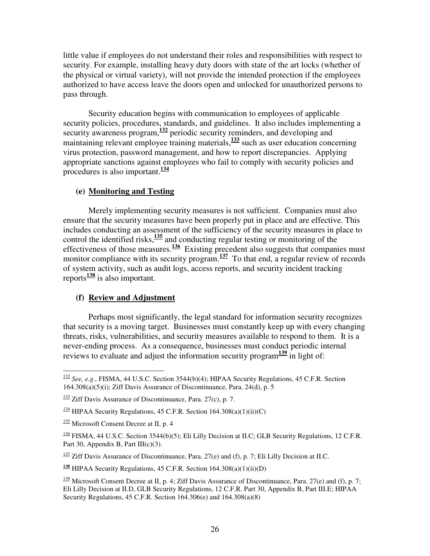little value if employees do not understand their roles and responsibilities with respect to security. For example, installing heavy duty doors with state of the art locks (whether of the physical or virtual variety), will not provide the intended protection if the employees authorized to have access leave the doors open and unlocked for unauthorized persons to pass through.

 Security education begins with communication to employees of applicable security policies, procedures, standards, and guidelines. It also includes implementing a security awareness program, <sup>132</sup> periodic security reminders, and developing and maintaining relevant employee training materials,**<sup>133</sup>** such as user education concerning virus protection, password management, and how to report discrepancies. Applying appropriate sanctions against employees who fail to comply with security policies and procedures is also important.**<sup>134</sup>**

#### **(e) Monitoring and Testing**

 Merely implementing security measures is not sufficient. Companies must also ensure that the security measures have been properly put in place and are effective. This includes conducting an assessment of the sufficiency of the security measures in place to control the identified risks,**<sup>135</sup>** and conducting regular testing or monitoring of the effectiveness of those measures.<sup>136</sup> Existing precedent also suggests that companies must monitor compliance with its security program.<sup>137</sup> To that end, a regular review of records of system activity, such as audit logs, access reports, and security incident tracking reports**<sup>138</sup>** is also important.

#### **(f) Review and Adjustment**

 Perhaps most significantly, the legal standard for information security recognizes that security is a moving target. Businesses must constantly keep up with every changing threats, risks, vulnerabilities, and security measures available to respond to them. It is a never-ending process. As a consequence, businesses must conduct periodic internal reviews to evaluate and adjust the information security program**<sup>139</sup>** in light of:

 $\overline{a}$ 

 $137$  Ziff Davis Assurance of Discontinuance, Para. 27(e) and (f), p. 7; Eli Lilly Decision at II.C.

**<sup>138</sup>** HIPAA Security Regulations, 45 C.F.R. Section 164.308(a)(1)(ii)(D)

<sup>132</sup> *See, e.g*., FISMA, 44 U.S.C. Section 3544(b)(4); HIPAA Security Regulations, 45 C.F.R. Section  $164.308(a)(5)(i)$ ; Ziff Davis Assurance of Discontinuance, Para. 24(d), p. 5

 $\frac{133}{2}$  Ziff Davis Assurance of Discontinuance, Para. 27(c), p. 7.

 $\frac{134}{134}$  HIPAA Security Regulations, 45 C.F.R. Section 164.308(a)(1)(ii)(C)

 $\frac{135}{2}$  Microsoft Consent Decree at II, p. 4

 $\frac{136}{136}$  FISMA, 44 U.S.C. Section 3544(b)(5); Eli Lilly Decision at II.C; GLB Security Regulations, 12 C.F.R. Part 30, Appendix B, Part III(c)(3).

 $\frac{139}{139}$  Microsoft Consent Decree at II, p. 4; Ziff Davis Assurance of Discontinuance, Para. 27(e) and (f), p. 7; Eli Lilly Decision at II.D, GLB Security Regulations, 12 C.F.R. Part 30, Appendix B, Part III.E; HIPAA Security Regulations, 45 C.F.R. Section 164.306(e) and 164.308(a)(8)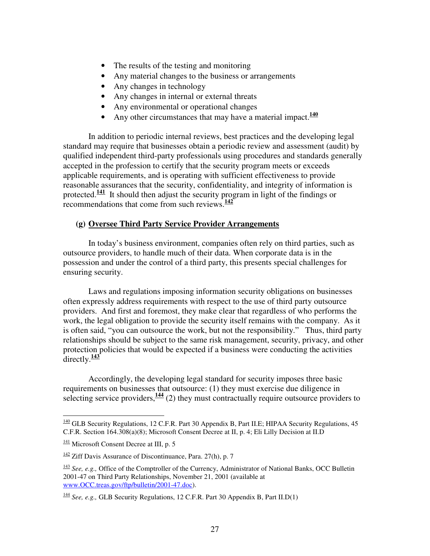- The results of the testing and monitoring
- Any material changes to the business or arrangements
- Any changes in technology
- Any changes in internal or external threats
- Any environmental or operational changes
- Any other circumstances that may have a material impact.<sup>140</sup>

In addition to periodic internal reviews, best practices and the developing legal standard may require that businesses obtain a periodic review and assessment (audit) by qualified independent third-party professionals using procedures and standards generally accepted in the profession to certify that the security program meets or exceeds applicable requirements, and is operating with sufficient effectiveness to provide reasonable assurances that the security, confidentiality, and integrity of information is protected.**<sup>141</sup>** It should then adjust the security program in light of the findings or recommendations that come from such reviews.**<sup>142</sup>**

#### **(g) Oversee Third Party Service Provider Arrangements**

 In today's business environment, companies often rely on third parties, such as outsource providers, to handle much of their data. When corporate data is in the possession and under the control of a third party, this presents special challenges for ensuring security.

 Laws and regulations imposing information security obligations on businesses often expressly address requirements with respect to the use of third party outsource providers. And first and foremost, they make clear that regardless of who performs the work, the legal obligation to provide the security itself remains with the company. As it is often said, "you can outsource the work, but not the responsibility." Thus, third party relationships should be subject to the same risk management, security, privacy, and other protection policies that would be expected if a business were conducting the activities directly.**<sup>143</sup>**

Accordingly, the developing legal standard for security imposes three basic requirements on businesses that outsource: (1) they must exercise due diligence in selecting service providers,**<sup>144</sup>** (2) they must contractually require outsource providers to

 $\frac{140}{140}$  GLB Security Regulations, 12 C.F.R. Part 30 Appendix B, Part II.E; HIPAA Security Regulations, 45 C.F.R. Section 164.308(a)(8); Microsoft Consent Decree at II, p. 4; Eli Lilly Decision at II.D

 $\frac{141}{141}$  Microsoft Consent Decree at III, p. 5

 $\frac{142}{2}$  Ziff Davis Assurance of Discontinuance, Para. 27(h), p. 7

<sup>143</sup> *See, e.g.,* Office of the Comptroller of the Currency, Administrator of National Banks, OCC Bulletin 2001-47 on Third Party Relationships, November 21, 2001 (available at www.OCC.treas.gov/ftp/bulletin/2001-47.doc).

 $\frac{144}{12}$  *See, e.g.,* GLB Security Regulations, 12 C.F.R. Part 30 Appendix B, Part II.D(1)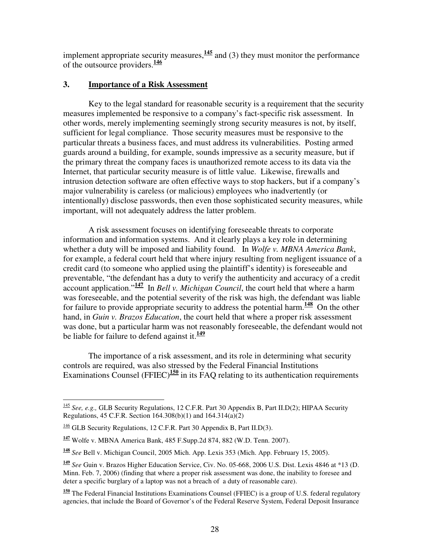implement appropriate security measures,  $\frac{145}{10}$  and (3) they must monitor the performance of the outsource providers.**<sup>146</sup>**

## **3. Importance of a Risk Assessment**

 Key to the legal standard for reasonable security is a requirement that the security measures implemented be responsive to a company's fact-specific risk assessment. In other words, merely implementing seemingly strong security measures is not, by itself, sufficient for legal compliance. Those security measures must be responsive to the particular threats a business faces, and must address its vulnerabilities. Posting armed guards around a building, for example, sounds impressive as a security measure, but if the primary threat the company faces is unauthorized remote access to its data via the Internet, that particular security measure is of little value. Likewise, firewalls and intrusion detection software are often effective ways to stop hackers, but if a company's major vulnerability is careless (or malicious) employees who inadvertently (or intentionally) disclose passwords, then even those sophisticated security measures, while important, will not adequately address the latter problem.

A risk assessment focuses on identifying foreseeable threats to corporate information and information systems. And it clearly plays a key role in determining whether a duty will be imposed and liability found. In *Wolfe v. MBNA America Bank*, for example, a federal court held that where injury resulting from negligent issuance of a credit card (to someone who applied using the plaintiff's identity) is foreseeable and preventable, "the defendant has a duty to verify the authenticity and accuracy of a credit account application."**<sup>147</sup>** In *Bell v. Michigan Council*, the court held that where a harm was foreseeable, and the potential severity of the risk was high, the defendant was liable for failure to provide appropriate security to address the potential harm.**<sup>148</sup>** On the other hand, in *Guin v. Brazos Education*, the court held that where a proper risk assessment was done, but a particular harm was not reasonably foreseeable, the defendant would not be liable for failure to defend against it.**<sup>149</sup>**

 The importance of a risk assessment, and its role in determining what security controls are required, was also stressed by the Federal Financial Institutions Examinations Counsel (FFIEC)<sup>150</sup> in its FAO relating to its authentication requirements

<sup>145</sup> *See, e.g.,* GLB Security Regulations, 12 C.F.R. Part 30 Appendix B, Part II.D(2); HIPAA Security Regulations, 45 C.F.R. Section 164.308(b)(1) and 164.314(a)(2)

 $\frac{146}{146}$  GLB Security Regulations, 12 C.F.R. Part 30 Appendix B, Part II.D(3).

**<sup>147</sup>** Wolfe v. MBNA America Bank, 485 F.Supp.2d 874, 882 (W.D. Tenn. 2007).

**<sup>148</sup>** *See* Bell v. Michigan Council, 2005 Mich. App. Lexis 353 (Mich. App. February 15, 2005).

**<sup>149</sup>** *See* Guin v. Brazos Higher Education Service, Civ. No. 05-668, 2006 U.S. Dist. Lexis 4846 at \*13 (D. Minn. Feb. 7, 2006) (finding that where a proper risk assessment was done, the inability to foresee and deter a specific burglary of a laptop was not a breach of a duty of reasonable care).

**<sup>150</sup>** The Federal Financial Institutions Examinations Counsel (FFIEC) is a group of U.S. federal regulatory agencies, that include the Board of Governor's of the Federal Reserve System, Federal Deposit Insurance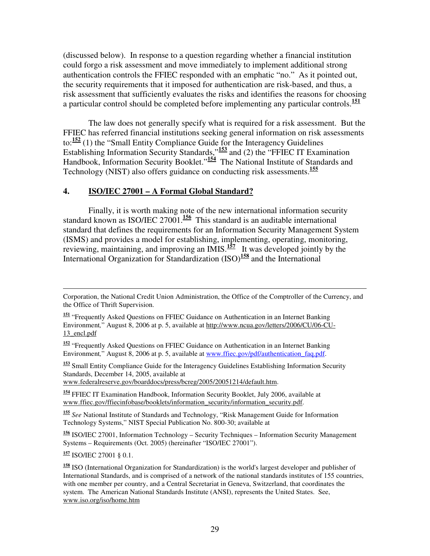(discussed below). In response to a question regarding whether a financial institution could forgo a risk assessment and move immediately to implement additional strong authentication controls the FFIEC responded with an emphatic "no." As it pointed out, the security requirements that it imposed for authentication are risk-based, and thus, a risk assessment that sufficiently evaluates the risks and identifies the reasons for choosing a particular control should be completed before implementing any particular controls.**<sup>151</sup>**

 The law does not generally specify what is required for a risk assessment. But the FFIEC has referred financial institutions seeking general information on risk assessments to:**<sup>152</sup>** (1) the "Small Entity Compliance Guide for the Interagency Guidelines Establishing Information Security Standards,"**<sup>153</sup>** and (2) the "FFIEC IT Examination Handbook, Information Security Booklet."**<sup>154</sup>** The National Institute of Standards and Technology (NIST) also offers guidance on conducting risk assessments.**<sup>155</sup>**

## **4. ISO/IEC 27001 – A Formal Global Standard?**

Finally, it is worth making note of the new international information security standard known as ISO/IEC 27001.**<sup>156</sup>** This standard is an auditable international standard that defines the requirements for an Information Security Management System (ISMS) and provides a model for establishing, implementing, operating, monitoring, reviewing, maintaining, and improving an IMIS.**<sup>157</sup>** It was developed jointly by the International Organization for Standardization (ISO) **<sup>158</sup>** and the International

**<sup>152</sup>** "Frequently Asked Questions on FFIEC Guidance on Authentication in an Internet Banking Environment," August 8, 2006 at p. 5, available at www.ffiec.gov/pdf/authentication faq.pdf.

**<sup>153</sup>** Small Entity Compliance Guide for the Interagency Guidelines Establishing Information Security Standards, December 14, 2005, available at

www.federalreserve.gov/boarddocs/press/bcreg/2005/20051214/default.htm.

**<sup>156</sup>** ISO/IEC 27001, Information Technology – Security Techniques – Information Security Management Systems – Requirements (Oct. 2005) (hereinafter "ISO/IEC 27001").

**<sup>157</sup>** ISO/IEC 27001 § 0.1.

Corporation, the National Credit Union Administration, the Office of the Comptroller of the Currency, and the Office of Thrift Supervision.

**<sup>151</sup>** "Frequently Asked Questions on FFIEC Guidance on Authentication in an Internet Banking Environment*,*" August 8, 2006 at p. 5, available at http://www.ncua.gov/letters/2006/CU/06-CU-13\_encl.pdf

**<sup>154</sup>** FFIEC IT Examination Handbook, Information Security Booklet, July 2006, available at www.ffiec.gov/ffiecinfobase/booklets/information\_security/information\_security.pdf.

**<sup>155</sup>** *See* National Institute of Standards and Technology, "Risk Management Guide for Information Technology Systems," NIST Special Publication No. 800-30; available at

**<sup>158</sup>** ISO (International Organization for Standardization) is the world's largest developer and publisher of International Standards, and is comprised of a network of the national standards institutes of 155 countries, with one member per country, and a Central Secretariat in Geneva, Switzerland, that coordinates the system. The American National Standards Institute (ANSI), represents the United States. See, www.iso.org/iso/home.htm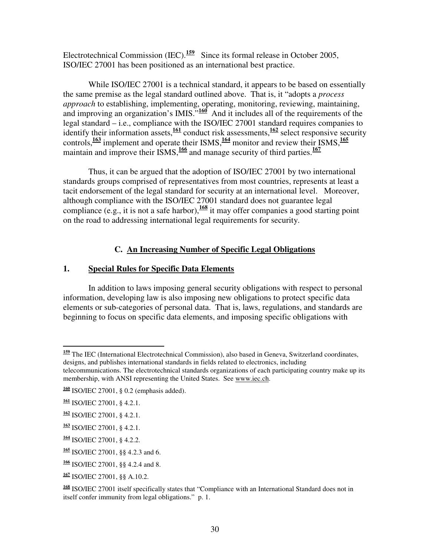Electrotechnical Commission (IEC).**<sup>159</sup>** Since its formal release in October 2005, ISO/IEC 27001 has been positioned as an international best practice.

While ISO/IEC 27001 is a technical standard, it appears to be based on essentially the same premise as the legal standard outlined above. That is, it "adopts a *process approach* to establishing, implementing, operating, monitoring, reviewing, maintaining, and improving an organization's IMIS."**<sup>160</sup>** And it includes all of the requirements of the legal standard – i.e., compliance with the ISO/IEC 27001 standard requires companies to identify their information assets,<sup>161</sup> conduct risk assessments,<sup>162</sup> select responsive security controls,**<sup>163</sup>** implement and operate their ISMS,**<sup>164</sup>** monitor and review their ISMS,**<sup>165</sup>** maintain and improve their ISMS, <sup>166</sup> and manage security of third parties.<sup>167</sup>

Thus, it can be argued that the adoption of ISO/IEC 27001 by two international standards groups comprised of representatives from most countries, represents at least a tacit endorsement of the legal standard for security at an international level. Moreover, although compliance with the ISO/IEC 27001 standard does not guarantee legal compliance (e.g., it is not a safe harbor),  $\frac{168}{1}$  it may offer companies a good starting point on the road to addressing international legal requirements for security.

## **C. An Increasing Number of Specific Legal Obligations**

## **1. Special Rules for Specific Data Elements**

In addition to laws imposing general security obligations with respect to personal information, developing law is also imposing new obligations to protect specific data elements or sub-categories of personal data. That is, laws, regulations, and standards are beginning to focus on specific data elements, and imposing specific obligations with

**<sup>159</sup>** The IEC (International Electrotechnical Commission), also based in Geneva, Switzerland coordinates, designs, and publishes international standards in fields related to electronics, including telecommunications. The electrotechnical standards organizations of each participating country make up its membership, with ANSI representing the United States. See www.iec.ch.

**<sup>160</sup>** ISO/IEC 27001, § 0.2 (emphasis added).

**<sup>161</sup>** ISO/IEC 27001, § 4.2.1.

**<sup>162</sup>** ISO/IEC 27001, § 4.2.1.

**<sup>163</sup>** ISO/IEC 27001, § 4.2.1.

**<sup>164</sup>** ISO/IEC 27001, § 4.2.2.

**<sup>165</sup>** ISO/IEC 27001, §§ 4.2.3 and 6.

**<sup>166</sup>** ISO/IEC 27001, §§ 4.2.4 and 8.

**<sup>167</sup>** ISO/IEC 27001, §§ A.10.2.

**<sup>168</sup>** ISO/IEC 27001 itself specifically states that "Compliance with an International Standard does not in itself confer immunity from legal obligations." p. 1.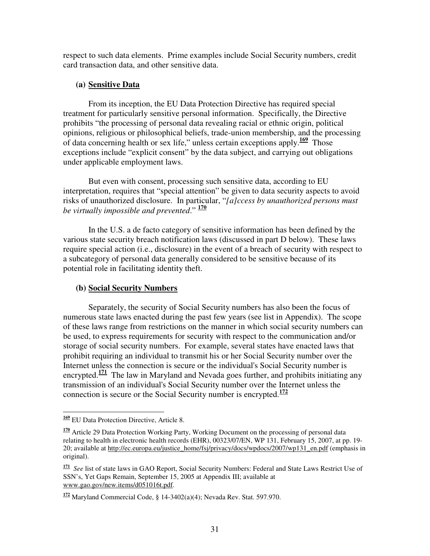respect to such data elements. Prime examples include Social Security numbers, credit card transaction data, and other sensitive data.

## **(a) Sensitive Data**

From its inception, the EU Data Protection Directive has required special treatment for particularly sensitive personal information. Specifically, the Directive prohibits "the processing of personal data revealing racial or ethnic origin, political opinions, religious or philosophical beliefs, trade-union membership, and the processing of data concerning health or sex life," unless certain exceptions apply.**<sup>169</sup>** Those exceptions include "explicit consent" by the data subject, and carrying out obligations under applicable employment laws.

 But even with consent, processing such sensitive data, according to EU interpretation, requires that "special attention" be given to data security aspects to avoid risks of unauthorized disclosure. In particular, "*[a]ccess by unauthorized persons must be virtually impossible and prevented*." **<sup>170</sup>**

In the U.S. a de facto category of sensitive information has been defined by the various state security breach notification laws (discussed in part D below). These laws require special action (i.e., disclosure) in the event of a breach of security with respect to a subcategory of personal data generally considered to be sensitive because of its potential role in facilitating identity theft.

# **(b) Social Security Numbers**

Separately, the security of Social Security numbers has also been the focus of numerous state laws enacted during the past few years (see list in Appendix). The scope of these laws range from restrictions on the manner in which social security numbers can be used, to express requirements for security with respect to the communication and/or storage of social security numbers. For example, several states have enacted laws that prohibit requiring an individual to transmit his or her Social Security number over the Internet unless the connection is secure or the individual's Social Security number is encrypted.<sup>171</sup> The law in Maryland and Nevada goes further, and prohibits initiating any transmission of an individual's Social Security number over the Internet unless the connection is secure or the Social Security number is encrypted.**<sup>172</sup>**

 $\overline{a}$ **<sup>169</sup>** EU Data Protection Directive, Article 8.

**<sup>170</sup>** Article 29 Data Protection Working Party, Working Document on the processing of personal data relating to health in electronic health records (EHR), 00323/07/EN, WP 131, February 15, 2007, at pp. 19- 20; available at http://ec.europa.eu/justice\_home/fsj/privacy/docs/wpdocs/2007/wp131\_en.pdf (emphasis in original).

**<sup>171</sup>** *See* list of state laws in GAO Report, Social Security Numbers: Federal and State Laws Restrict Use of SSN's, Yet Gaps Remain, September 15, 2005 at Appendix III; available at www.gao.gov/new.items/d051016t.pdf.

**<sup>172</sup>** Maryland Commercial Code, § 14-3402(a)(4); Nevada Rev. Stat. 597.970.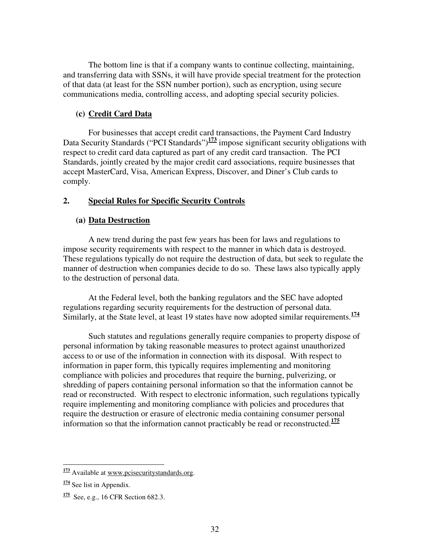The bottom line is that if a company wants to continue collecting, maintaining, and transferring data with SSNs, it will have provide special treatment for the protection of that data (at least for the SSN number portion), such as encryption, using secure communications media, controlling access, and adopting special security policies.

#### **(c) Credit Card Data**

For businesses that accept credit card transactions, the Payment Card Industry Data Security Standards ("PCI Standards")<sup>173</sup> impose significant security obligations with respect to credit card data captured as part of any credit card transaction. The PCI Standards, jointly created by the major credit card associations, require businesses that accept MasterCard, Visa, American Express, Discover, and Diner's Club cards to comply.

## **2. Special Rules for Specific Security Controls**

#### **(a) Data Destruction**

A new trend during the past few years has been for laws and regulations to impose security requirements with respect to the manner in which data is destroyed. These regulations typically do not require the destruction of data, but seek to regulate the manner of destruction when companies decide to do so. These laws also typically apply to the destruction of personal data.

At the Federal level, both the banking regulators and the SEC have adopted regulations regarding security requirements for the destruction of personal data. Similarly, at the State level, at least 19 states have now adopted similar requirements.**<sup>174</sup>**

Such statutes and regulations generally require companies to property dispose of personal information by taking reasonable measures to protect against unauthorized access to or use of the information in connection with its disposal. With respect to information in paper form, this typically requires implementing and monitoring compliance with policies and procedures that require the burning, pulverizing, or shredding of papers containing personal information so that the information cannot be read or reconstructed. With respect to electronic information, such regulations typically require implementing and monitoring compliance with policies and procedures that require the destruction or erasure of electronic media containing consumer personal information so that the information cannot practicably be read or reconstructed.**<sup>175</sup>**

**<sup>173</sup>** Available at www.pcisecuritystandards.org.

**<sup>174</sup>** See list in Appendix.

**<sup>175</sup>** See, e.g., 16 CFR Section 682.3.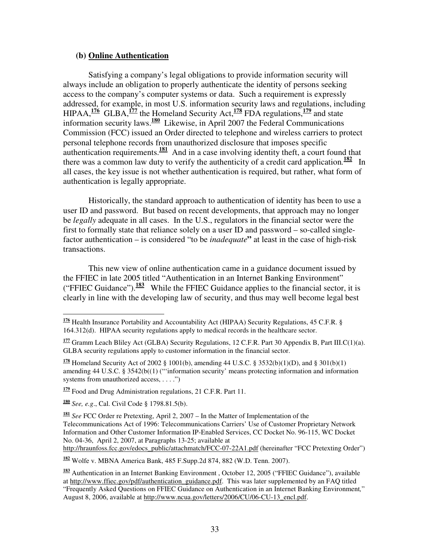#### **(b) Online Authentication**

Satisfying a company's legal obligations to provide information security will always include an obligation to properly authenticate the identity of persons seeking access to the company's computer systems or data. Such a requirement is expressly addressed, for example, in most U.S. information security laws and regulations, including HIPAA,**<sup>176</sup>** GLBA,**<sup>177</sup>** the Homeland Security Act,**<sup>178</sup>** FDA regulations,**<sup>179</sup>** and state information security laws.**<sup>180</sup>** Likewise, in April 2007 the Federal Communications Commission (FCC) issued an Order directed to telephone and wireless carriers to protect personal telephone records from unauthorized disclosure that imposes specific authentication requirements.**<sup>181</sup>** And in a case involving identity theft, a court found that there was a common law duty to verify the authenticity of a credit card application*.* **<sup>182</sup>** In all cases, the key issue is not whether authentication is required, but rather, what form of authentication is legally appropriate.

Historically, the standard approach to authentication of identity has been to use a user ID and password. But based on recent developments, that approach may no longer be *legally* adequate in all cases. In the U.S., regulators in the financial sector were the first to formally state that reliance solely on a user ID and password – so-called singlefactor authentication – is considered "to be *inadequate***"** at least in the case of high-risk transactions.

This new view of online authentication came in a guidance document issued by the FFIEC in late 2005 titled "Authentication in an Internet Banking Environment" ("FFIEC Guidance").**<sup>183</sup>** While the FFIEC Guidance applies to the financial sector, it is clearly in line with the developing law of security, and thus may well become legal best

**<sup>179</sup>** Food and Drug Administration regulations, 21 C.F.R. Part 11.

**<sup>180</sup>** *See, e.g*., Cal. Civil Code § 1798.81.5(b).

 $\overline{a}$ 

http://hraunfoss.fcc.gov/edocs\_public/attachmatch/FCC-07-22A1.pdf (hereinafter "FCC Pretexting Order")

**<sup>182</sup>** Wolfe v. MBNA America Bank, 485 F.Supp.2d 874, 882 (W.D. Tenn. 2007).

**<sup>176</sup>** Health Insurance Portability and Accountability Act (HIPAA) Security Regulations, 45 C.F.R. § 164.312(d). HIPAA security regulations apply to medical records in the healthcare sector.

**<sup>177</sup>** Gramm Leach Bliley Act (GLBA) Security Regulations, 12 C.F.R. Part 30 Appendix B, Part III.C(1)(a). GLBA security regulations apply to customer information in the financial sector.

**<sup>178</sup>** Homeland Security Act of 2002 § 1001(b), amending 44 U.S.C. § 3532(b)(1)(D), and § 301(b)(1) amending 44 U.S.C. § 3542(b((1) ("'information security' means protecting information and information systems from unauthorized access, . . . .")

**<sup>181</sup>** *See* FCC Order re Pretexting, April 2, 2007 – In the Matter of Implementation of the Telecommunications Act of 1996: Telecommunications Carriers' Use of Customer Proprietary Network Information and Other Customer Information IP-Enabled Services, CC Docket No. 96-115, WC Docket No. 04-36, April 2, 2007, at Paragraphs 13-25; available at

**<sup>183</sup>** Authentication in an Internet Banking Environment , October 12, 2005 ("FFIEC Guidance"), available at http://www.ffiec.gov/pdf/authentication\_guidance.pdf. This was later supplemented by an FAQ titled "Frequently Asked Questions on FFIEC Guidance on Authentication in an Internet Banking Environment*,*" August 8, 2006, available at http://www.ncua.gov/letters/2006/CU/06-CU-13\_encl.pdf.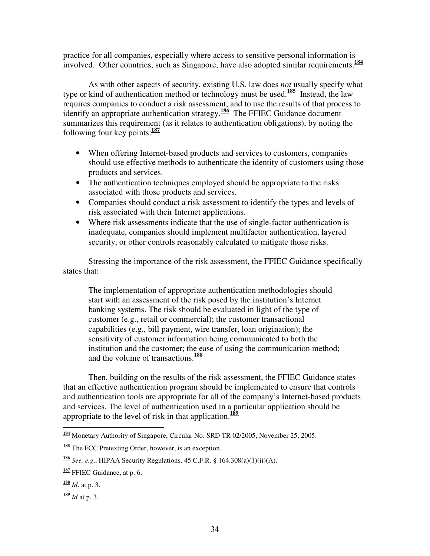practice for all companies, especially where access to sensitive personal information is involved. Other countries, such as Singapore, have also adopted similar requirements.**<sup>184</sup>**

As with other aspects of security, existing U.S. law does *not* usually specify what type or kind of authentication method or technology must be used.**<sup>185</sup>** Instead, the law requires companies to conduct a risk assessment, and to use the results of that process to identify an appropriate authentication strategy.**<sup>186</sup>** The FFIEC Guidance document summarizes this requirement (as it relates to authentication obligations), by noting the following four key points:**<sup>187</sup>**

- When offering Internet-based products and services to customers, companies should use effective methods to authenticate the identity of customers using those products and services.
- The authentication techniques employed should be appropriate to the risks associated with those products and services.
- Companies should conduct a risk assessment to identify the types and levels of risk associated with their Internet applications.
- Where risk assessments indicate that the use of single-factor authentication is inadequate, companies should implement multifactor authentication, layered security, or other controls reasonably calculated to mitigate those risks.

Stressing the importance of the risk assessment, the FFIEC Guidance specifically states that:

The implementation of appropriate authentication methodologies should start with an assessment of the risk posed by the institution's Internet banking systems. The risk should be evaluated in light of the type of customer (e.g., retail or commercial); the customer transactional capabilities (e.g., bill payment, wire transfer, loan origination); the sensitivity of customer information being communicated to both the institution and the customer; the ease of using the communication method; and the volume of transactions.**<sup>188</sup>**

Then, building on the results of the risk assessment, the FFIEC Guidance states that an effective authentication program should be implemented to ensure that controls and authentication tools are appropriate for all of the company's Internet-based products and services. The level of authentication used in a particular application should be appropriate to the level of risk in that application.**<sup>189</sup>**

**<sup>184</sup>** Monetary Authority of Singapore, Circular No. SRD TR 02/2005, November 25, 2005.

**<sup>185</sup>** The FCC Pretexting Order, however, is an exception.

**<sup>186</sup>** *See, e.g*., HIPAA Security Regulations, 45 C.F.R. § 164.308(a)(1)(ii)(A).

**<sup>187</sup>** FFIEC Guidance, at p. 6.

**<sup>188</sup>** *Id*. at p. 3.

**<sup>189</sup>** *Id* at p. 3.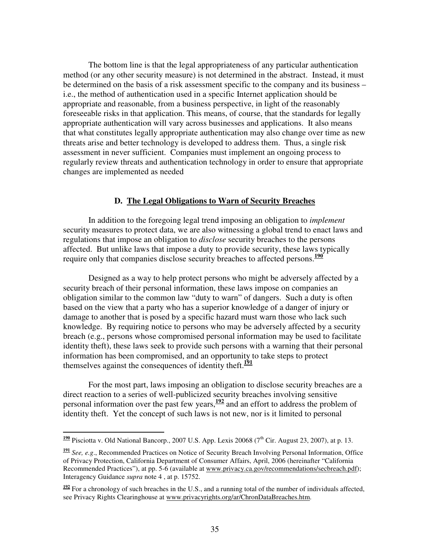The bottom line is that the legal appropriateness of any particular authentication method (or any other security measure) is not determined in the abstract. Instead, it must be determined on the basis of a risk assessment specific to the company and its business – i.e., the method of authentication used in a specific Internet application should be appropriate and reasonable, from a business perspective, in light of the reasonably foreseeable risks in that application. This means, of course, that the standards for legally appropriate authentication will vary across businesses and applications. It also means that what constitutes legally appropriate authentication may also change over time as new threats arise and better technology is developed to address them. Thus, a single risk assessment in never sufficient. Companies must implement an ongoing process to regularly review threats and authentication technology in order to ensure that appropriate changes are implemented as needed

### **D. The Legal Obligations to Warn of Security Breaches**

In addition to the foregoing legal trend imposing an obligation to *implement* security measures to protect data, we are also witnessing a global trend to enact laws and regulations that impose an obligation to *disclose* security breaches to the persons affected. But unlike laws that impose a duty to provide security, these laws typically require only that companies disclose security breaches to affected persons.**<sup>190</sup>**

 Designed as a way to help protect persons who might be adversely affected by a security breach of their personal information, these laws impose on companies an obligation similar to the common law "duty to warn" of dangers. Such a duty is often based on the view that a party who has a superior knowledge of a danger of injury or damage to another that is posed by a specific hazard must warn those who lack such knowledge. By requiring notice to persons who may be adversely affected by a security breach (e.g., persons whose compromised personal information may be used to facilitate identity theft), these laws seek to provide such persons with a warning that their personal information has been compromised, and an opportunity to take steps to protect themselves against the consequences of identity theft.**<sup>191</sup>**

 For the most part, laws imposing an obligation to disclose security breaches are a direct reaction to a series of well-publicized security breaches involving sensitive personal information over the past few years,**<sup>192</sup>** and an effort to address the problem of identity theft. Yet the concept of such laws is not new, nor is it limited to personal

<sup>&</sup>lt;sup>190</sup> Pisciotta v. Old National Bancorp., 2007 U.S. App. Lexis 20068 (7<sup>th</sup> Cir. August 23, 2007), at p. 13.

**<sup>191</sup>** *See, e.g*., Recommended Practices on Notice of Security Breach Involving Personal Information, Office of Privacy Protection, California Department of Consumer Affairs, April, 2006 (hereinafter "California Recommended Practices"), at pp. 5-6 (available at www.privacy.ca.gov/recommendations/secbreach.pdf); Interagency Guidance *supra* note 4 , at p. 15752.

 $\frac{192}{2}$  For a chronology of such breaches in the U.S., and a running total of the number of individuals affected, see Privacy Rights Clearinghouse at www.privacyrights.org/ar/ChronDataBreaches.htm.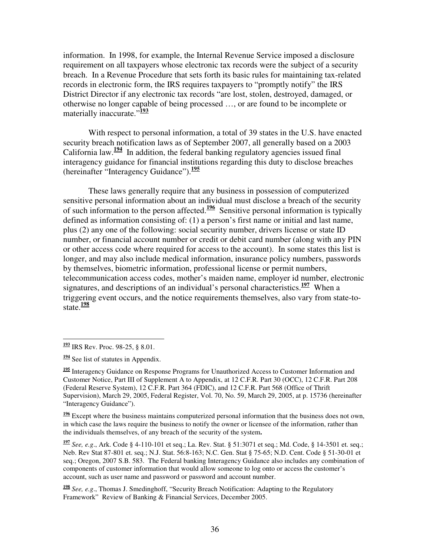information. In 1998, for example, the Internal Revenue Service imposed a disclosure requirement on all taxpayers whose electronic tax records were the subject of a security breach. In a Revenue Procedure that sets forth its basic rules for maintaining tax-related records in electronic form, the IRS requires taxpayers to "promptly notify" the IRS District Director if any electronic tax records "are lost, stolen, destroyed, damaged, or otherwise no longer capable of being processed …, or are found to be incomplete or materially inaccurate."**<sup>193</sup>**

 With respect to personal information, a total of 39 states in the U.S. have enacted security breach notification laws as of September 2007, all generally based on a 2003 California law.**<sup>194</sup>** In addition, the federal banking regulatory agencies issued final interagency guidance for financial institutions regarding this duty to disclose breaches (hereinafter "Interagency Guidance").**<sup>195</sup>**

These laws generally require that any business in possession of computerized sensitive personal information about an individual must disclose a breach of the security of such information to the person affected.**<sup>196</sup>** Sensitive personal information is typically defined as information consisting of: (1) a person's first name or initial and last name, plus (2) any one of the following: social security number, drivers license or state ID number, or financial account number or credit or debit card number (along with any PIN or other access code where required for access to the account). In some states this list is longer, and may also include medical information, insurance policy numbers, passwords by themselves, biometric information, professional license or permit numbers, telecommunication access codes, mother's maiden name, employer id number, electronic signatures, and descriptions of an individual's personal characteristics.**<sup>197</sup>** When a triggering event occurs, and the notice requirements themselves, also vary from state-tostate.**<sup>198</sup>**

 $\overline{a}$ 

**<sup>196</sup>** Except where the business maintains computerized personal information that the business does not own, in which case the laws require the business to notify the owner or licensee of the information, rather than the individuals themselves, of any breach of the security of the system**.**

**<sup>197</sup>** *See, e.g*., Ark. Code § 4-110-101 et seq.; La. Rev. Stat. § 51:3071 et seq.; Md. Code, § 14-3501 et. seq.; Neb. Rev Stat 87-801 et. seq.; N.J. Stat. 56:8-163; N.C. Gen. Stat § 75-65; N.D. Cent. Code § 51-30-01 et seq.; Oregon, 2007 S.B. 583. The Federal banking Interagency Guidance also includes any combination of components of customer information that would allow someone to log onto or access the customer's account, such as user name and password or password and account number.

**<sup>198</sup>** *See, e.g*., Thomas J. Smedinghoff, "Security Breach Notification: Adapting to the Regulatory Framework" Review of Banking & Financial Services, December 2005.

**<sup>193</sup>** IRS Rev. Proc. 98-25, § 8.01.

**<sup>194</sup>** See list of statutes in Appendix.

**<sup>195</sup>** Interagency Guidance on Response Programs for Unauthorized Access to Customer Information and Customer Notice, Part III of Supplement A to Appendix, at 12 C.F.R. Part 30 (OCC), 12 C.F.R. Part 208 (Federal Reserve System), 12 C.F.R. Part 364 (FDIC), and 12 C.F.R. Part 568 (Office of Thrift Supervision), March 29, 2005, Federal Register, Vol. 70, No. 59, March 29, 2005, at p. 15736 (hereinafter "Interagency Guidance").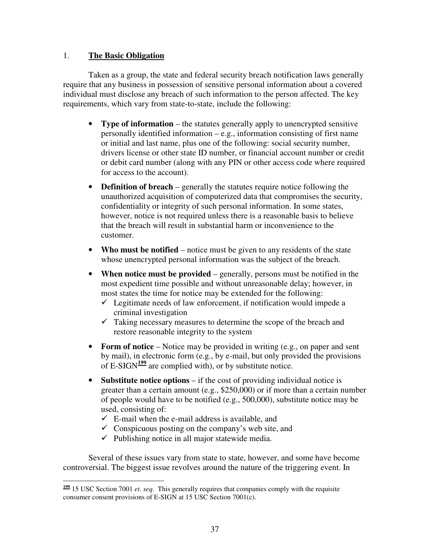## 1. **The Basic Obligation**

 Taken as a group, the state and federal security breach notification laws generally require that any business in possession of sensitive personal information about a covered individual must disclose any breach of such information to the person affected. The key requirements, which vary from state-to-state, include the following:

- **Type of information** the statutes generally apply to unencrypted sensitive personally identified information – e.g., information consisting of first name or initial and last name, plus one of the following: social security number, drivers license or other state ID number, or financial account number or credit or debit card number (along with any PIN or other access code where required for access to the account).
- **Definition of breach** generally the statutes require notice following the unauthorized acquisition of computerized data that compromises the security, confidentiality or integrity of such personal information. In some states, however, notice is not required unless there is a reasonable basis to believe that the breach will result in substantial harm or inconvenience to the customer.
- **Who must be notified** notice must be given to any residents of the state whose unencrypted personal information was the subject of the breach.
- **When notice must be provided** generally, persons must be notified in the most expedient time possible and without unreasonable delay; however, in most states the time for notice may be extended for the following:
	- $\checkmark$  Legitimate needs of law enforcement, if notification would impede a criminal investigation
	- $\checkmark$  Taking necessary measures to determine the scope of the breach and restore reasonable integrity to the system
- **Form of notice** Notice may be provided in writing (e.g., on paper and sent by mail), in electronic form (e.g., by e-mail, but only provided the provisions of E-SIGN $\frac{199}{2}$  are complied with), or by substitute notice.
- **Substitute notice options** if the cost of providing individual notice is greater than a certain amount (e.g., \$250,000) or if more than a certain number of people would have to be notified (e.g., 500,000), substitute notice may be used, consisting of:
	- $\checkmark$  E-mail when the e-mail address is available, and
	- Conspicuous posting on the company's web site, and
	- $\checkmark$  Publishing notice in all major statewide media.

 Several of these issues vary from state to state, however, and some have become controversial. The biggest issue revolves around the nature of the triggering event. In

 $\overline{a}$ **<sup>199</sup>** 15 USC Section 7001 *et. seq*. This generally requires that companies comply with the requisite consumer consent provisions of E-SIGN at 15 USC Section 7001(c).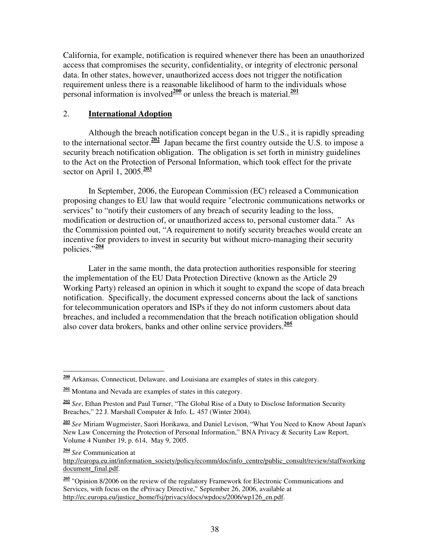California, for example, notification is required whenever there has been an unauthorized access that compromises the security, confidentiality, or integrity of electronic personal data. In other states, however, unauthorized access does not trigger the notification requirement unless there is a reasonable likelihood of harm to the individuals whose personal information is involved**<sup>200</sup>** or unless the breach is material.**<sup>201</sup>**

## 2. **International Adoption**

 Although the breach notification concept began in the U.S., it is rapidly spreading to the international sector.**<sup>202</sup>** Japan became the first country outside the U.S. to impose a security breach notification obligation. The obligation is set forth in ministry guidelines to the Act on the Protection of Personal Information, which took effect for the private sector on April 1, 2005.**<sup>203</sup>**

In September, 2006, the European Commission (EC) released a Communication proposing changes to EU law that would require "electronic communications networks or services" to "notify their customers of any breach of security leading to the loss, modification or destruction of, or unauthorized access to, personal customer data." As the Commission pointed out, "A requirement to notify security breaches would create an incentive for providers to invest in security but without micro-managing their security policies."**<sup>204</sup>**

Later in the same month, the data protection authorities responsible for steering the implementation of the EU Data Protection Directive (known as the Article 29 Working Party) released an opinion in which it sought to expand the scope of data breach notification. Specifically, the document expressed concerns about the lack of sanctions for telecommunication operators and ISPs if they do not inform customers about data breaches, and included a recommendation that the breach notification obligation should also cover data brokers, banks and other online service providers.**<sup>205</sup>**

 $\overline{a}$ 

**<sup>204</sup>** *See* Communication at http://europa.eu.int/information\_society/policy/ecomm/doc/info\_centre/public\_consult/review/staffworking document\_final.pdf.

**<sup>200</sup>** Arkansas, Connecticut, Delaware, and Louisiana are examples of states in this category.

**<sup>201</sup>** Montana and Nevada are examples of states in this category.

**<sup>202</sup>** *See*, Ethan Preston and Paul Turner, "The Global Rise of a Duty to Disclose Information Security Breaches," 22 J. Marshall Computer & Info. L. 457 (Winter 2004).

**<sup>203</sup>** *See* Miriam Wugmeister, Saori Horikawa, and Daniel Levison, "What You Need to Know About Japan's New Law Concerning the Protection of Personal Information," BNA Privacy & Security Law Report, Volume 4 Number 19, p. 614, May 9, 2005.

**<sup>205</sup>** "Opinion 8/2006 on the review of the regulatory Framework for Electronic Communications and Services, with focus on the ePrivacy Directive," September 26, 2006, available at http://ec.europa.eu/justice\_home/fsj/privacy/docs/wpdocs/2006/wp126\_en.pdf.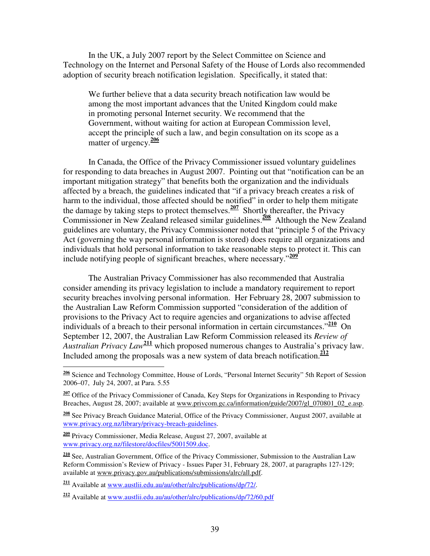In the UK, a July 2007 report by the Select Committee on Science and Technology on the Internet and Personal Safety of the House of Lords also recommended adoption of security breach notification legislation. Specifically, it stated that:

We further believe that a data security breach notification law would be among the most important advances that the United Kingdom could make in promoting personal Internet security. We recommend that the Government, without waiting for action at European Commission level, accept the principle of such a law, and begin consultation on its scope as a matter of urgency.**<sup>206</sup>**

In Canada, the Office of the Privacy Commissioner issued voluntary guidelines for responding to data breaches in August 2007. Pointing out that "notification can be an important mitigation strategy" that benefits both the organization and the individuals affected by a breach, the guidelines indicated that "if a privacy breach creates a risk of harm to the individual, those affected should be notified" in order to help them mitigate the damage by taking steps to protect themselves.**<sup>207</sup>** Shortly thereafter, the Privacy Commissioner in New Zealand released similar guidelines.**<sup>208</sup>** Although the New Zealand guidelines are voluntary, the Privacy Commissioner noted that "principle 5 of the Privacy Act (governing the way personal information is stored) does require all organizations and individuals that hold personal information to take reasonable steps to protect it. This can include notifying people of significant breaches, where necessary."**<sup>209</sup>**

The Australian Privacy Commissioner has also recommended that Australia consider amending its privacy legislation to include a mandatory requirement to report security breaches involving personal information. Her February 28, 2007 submission to the Australian Law Reform Commission supported "consideration of the addition of provisions to the Privacy Act to require agencies and organizations to advise affected individuals of a breach to their personal information in certain circumstances."**<sup>210</sup>** On September 12, 2007, the Australian Law Reform Commission released its *Review of Australian Privacy Law***<sup>211</sup>** which proposed numerous changes to Australia's privacy law. Included among the proposals was a new system of data breach notification.**<sup>212</sup>**

 $\overline{a}$ 

**<sup>211</sup>** Available at www.austlii.edu.au/au/other/alrc/publications/dp/72/.

**<sup>206</sup>** Science and Technology Committee, House of Lords, "Personal Internet Security" 5th Report of Session 2006–07, July 24, 2007, at Para. 5.55

**<sup>207</sup>** Office of the Privacy Commissioner of Canada, Key Steps for Organizations in Responding to Privacy Breaches, August 28, 2007; available at www.privcom.gc.ca/information/guide/2007/gl\_070801\_02\_e.asp.

**<sup>208</sup>** See Privacy Breach Guidance Material, Office of the Privacy Commissioner, August 2007, available at www.privacy.org.nz/library/privacy-breach-guidelines.

**<sup>209</sup>** Privacy Commissioner, Media Release, August 27, 2007, available at www.privacy.org.nz/filestore/docfiles/5001509.doc.

**<sup>210</sup>** See, Australian Government, Office of the Privacy Commissioner, Submission to the Australian Law Reform Commission's Review of Privacy - Issues Paper 31, February 28, 2007, at paragraphs 127-129; available at www.privacy.gov.au/publications/submissions/alrc/all.pdf.

**<sup>212</sup>** Available at www.austlii.edu.au/au/other/alrc/publications/dp/72/60.pdf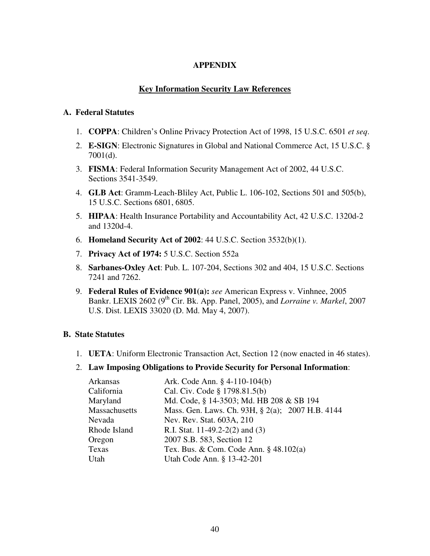# **APPENDIX**

# **Key Information Security Law References**

## **A. Federal Statutes**

- 1. **COPPA**: Children's Online Privacy Protection Act of 1998, 15 U.S.C. 6501 *et seq*.
- 2. **E-SIGN**: Electronic Signatures in Global and National Commerce Act, 15 U.S.C. § 7001(d).
- 3. **FISMA**: Federal Information Security Management Act of 2002, 44 U.S.C. Sections 3541-3549.
- 4. **GLB Act**: Gramm-Leach-Bliley Act, Public L. 106-102, Sections 501 and 505(b), 15 U.S.C. Sections 6801, 6805.
- 5. **HIPAA**: Health Insurance Portability and Accountability Act, 42 U.S.C. 1320d-2 and 1320d-4.
- 6. **Homeland Security Act of 2002**: 44 U.S.C. Section 3532(b)(1).
- 7. **Privacy Act of 1974:** 5 U.S.C. Section 552a
- 8. **Sarbanes-Oxley Act**: Pub. L. 107-204, Sections 302 and 404, 15 U.S.C. Sections 7241 and 7262.
- 9. **Federal Rules of Evidence 901(a):** *see* American Express v. Vinhnee, 2005 Bankr. LEXIS 2602 (9th Cir. Bk. App. Panel, 2005), and *Lorraine v. Markel*, 2007 U.S. Dist. LEXIS 33020 (D. Md. May 4, 2007).

# **B. State Statutes**

1. **UETA**: Uniform Electronic Transaction Act, Section 12 (now enacted in 46 states).

## 2. **Law Imposing Obligations to Provide Security for Personal Information**:

| Ark. Code Ann. § 4-110-104(b)                    |
|--------------------------------------------------|
| Cal. Civ. Code § 1798.81.5(b)                    |
| Md. Code, § 14-3503; Md. HB 208 & SB 194         |
| Mass. Gen. Laws. Ch. 93H, § 2(a); 2007 H.B. 4144 |
| Nev. Rev. Stat. 603A, 210                        |
| R.I. Stat. 11-49.2-2(2) and (3)                  |
| 2007 S.B. 583, Section 12                        |
| Tex. Bus. & Com. Code Ann. $\S$ 48.102(a)        |
| Utah Code Ann. § 13-42-201                       |
|                                                  |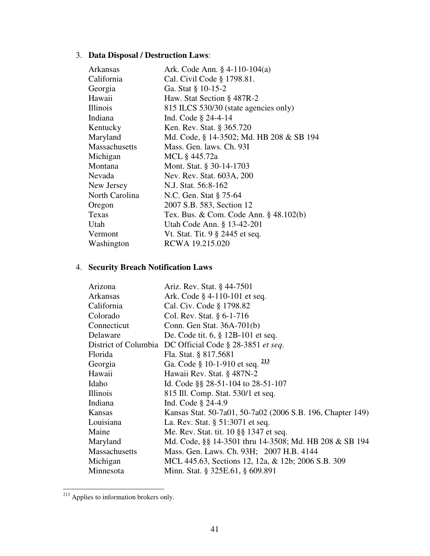# 3. **Data Disposal / Destruction Laws**:

| Arkansas             | Ark. Code Ann. § 4-110-104(a)            |
|----------------------|------------------------------------------|
| California           | Cal. Civil Code § 1798.81.               |
| Georgia              | Ga. Stat § 10-15-2                       |
| Hawaii               | Haw. Stat Section § 487R-2               |
| Illinois             | 815 ILCS 530/30 (state agencies only)    |
| Indiana              | Ind. Code § 24-4-14                      |
| Kentucky             | Ken. Rev. Stat. § 365.720                |
| Maryland             | Md. Code, § 14-3502; Md. HB 208 & SB 194 |
| <b>Massachusetts</b> | Mass. Gen. laws. Ch. 93I                 |
| Michigan             | MCL § 445.72a                            |
| Montana              | Mont. Stat. § 30-14-1703                 |
| Nevada               | Nev. Rev. Stat. 603A, 200                |
| New Jersey           | N.J. Stat. 56:8-162                      |
| North Carolina       | N.C. Gen. Stat § 75-64                   |
| Oregon               | 2007 S.B. 583, Section 12                |
| Texas                | Tex. Bus. & Com. Code Ann. § 48.102(b)   |
| Utah                 | Utah Code Ann. § 13-42-201               |
| Vermont              | Vt. Stat. Tit. 9 § 2445 et seq.          |
| Washington           | RCWA 19.215.020                          |
|                      |                                          |

# 4. **Security Breach Notification Laws**

| Arizona              | Ariz. Rev. Stat. § 44-7501                                 |
|----------------------|------------------------------------------------------------|
| Arkansas             | Ark. Code $\S$ 4-110-101 et seq.                           |
| California           | Cal. Civ. Code § 1798.82                                   |
| Colorado             | Col. Rev. Stat. $§ 6-1-716$                                |
| Connecticut          | Conn. Gen Stat. $36A-701(b)$                               |
| Delaware             | De. Code tit. 6, § 12B-101 et seq.                         |
|                      | District of Columbia DC Official Code § 28-3851 et seq.    |
| Florida              | Fla. Stat. § 817.5681                                      |
| Georgia              | Ga. Code § 10-1-910 et seq. 213                            |
| Hawaii               | Hawaii Rev. Stat. § 487N-2                                 |
| Idaho                | Id. Code §§ 28-51-104 to 28-51-107                         |
| <b>Illinois</b>      | 815 Ill. Comp. Stat. 530/1 et seq.                         |
| Indiana              | Ind. Code § 24-4.9                                         |
| Kansas               | Kansas Stat. 50-7a01, 50-7a02 (2006 S.B. 196, Chapter 149) |
| Louisiana            | La. Rev. Stat. § 51:3071 et seq.                           |
| Maine                | Me. Rev. Stat. tit. 10 §§ 1347 et seq.                     |
| Maryland             | Md. Code, §§ 14-3501 thru 14-3508; Md. HB 208 & SB 194     |
| <b>Massachusetts</b> | Mass. Gen. Laws. Ch. 93H; 2007 H.B. 4144                   |
| Michigan             | MCL 445.63, Sections 12, 12a, & 12b; 2006 S.B. 309         |
| Minnesota            | Minn. Stat. § 325E.61, § 609.891                           |
|                      |                                                            |

<sup>&</sup>lt;sup>213</sup> Applies to information brokers only.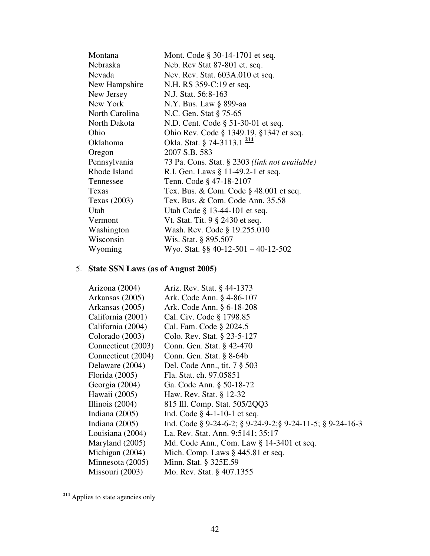| Montana        | Mont. Code § 30-14-1701 et seq.                |
|----------------|------------------------------------------------|
| Nebraska       | Neb. Rev Stat 87-801 et. seq.                  |
| Nevada         | Nev. Rev. Stat. 603A.010 et seq.               |
| New Hampshire  | N.H. RS 359-C:19 et seq.                       |
| New Jersey     | N.J. Stat. 56:8-163                            |
| New York       | N.Y. Bus. Law § 899-aa                         |
| North Carolina | N.C. Gen. Stat § 75-65                         |
| North Dakota   | N.D. Cent. Code § 51-30-01 et seq.             |
| Ohio           | Ohio Rev. Code § 1349.19, §1347 et seq.        |
| Oklahoma       | Okla. Stat. § 74-3113.1 214                    |
| Oregon         | 2007 S.B. 583                                  |
| Pennsylvania   | 73 Pa. Cons. Stat. § 2303 (link not available) |
| Rhode Island   | R.I. Gen. Laws § 11-49.2-1 et seq.             |
| Tennessee      | Tenn. Code § 47-18-2107                        |
| Texas          | Tex. Bus. & Com. Code $\S$ 48.001 et seq.      |
| Texas (2003)   | Tex. Bus. & Com. Code Ann. 35.58               |
| Utah           | Utah Code § 13-44-101 et seq.                  |
| Vermont        | Vt. Stat. Tit. 9 § 2430 et seq.                |
| Washington     | Wash. Rev. Code § 19.255.010                   |
| Wisconsin      | Wis. Stat. § 895.507                           |
| Wyoming        | Wyo. Stat. $\S$ 40-12-501 - 40-12-502          |

# 5. **State SSN Laws (as of August 2005)**

| Arizona (2004)     | Ariz. Rev. Stat. § 44-1373                                 |
|--------------------|------------------------------------------------------------|
| Arkansas (2005)    | Ark. Code Ann. § 4-86-107                                  |
| Arkansas (2005)    | Ark. Code Ann. § 6-18-208                                  |
| California (2001)  | Cal. Civ. Code § 1798.85                                   |
| California (2004)  | Cal. Fam. Code § 2024.5                                    |
| Colorado (2003)    | Colo. Rev. Stat. § 23-5-127                                |
| Connecticut (2003) | Conn. Gen. Stat. § 42-470                                  |
| Connecticut (2004) | Conn. Gen. Stat. $\S$ 8-64b                                |
| Delaware (2004)    | Del. Code Ann., tit. 7 § 503                               |
| Florida $(2005)$   | Fla. Stat. ch. 97.05851                                    |
| Georgia (2004)     | Ga. Code Ann. § 50-18-72                                   |
| Hawaii (2005)      | Haw. Rev. Stat. § 12-32                                    |
| Illinois $(2004)$  | 815 Ill. Comp. Stat. 505/2QQ3                              |
| Indiana $(2005)$   | Ind. Code $\S$ 4-1-10-1 et seq.                            |
| Indiana $(2005)$   | Ind. Code § 9-24-6-2; § 9-24-9-2; § 9-24-11-5; § 9-24-16-3 |
| Louisiana (2004)   | La. Rev. Stat. Ann. 9:5141; 35:17                          |
| Maryland $(2005)$  | Md. Code Ann., Com. Law § 14-3401 et seq.                  |
| Michigan (2004)    | Mich. Comp. Laws $\S$ 445.81 et seq.                       |
| Minnesota (2005)   | Minn. Stat. § 325E.59                                      |
| Missouri (2003)    | Mo. Rev. Stat. § 407.1355                                  |
|                    |                                                            |

**<sup>214</sup>** Applies to state agencies only

 $\mathcal{L}$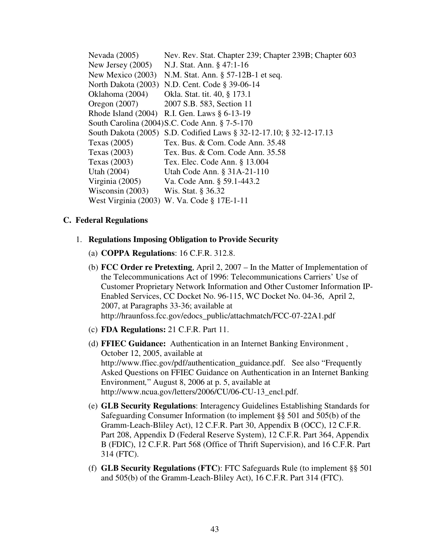Nevada (2005) Nev. Rev. Stat. Chapter 239; Chapter 239B; Chapter 603 New Jersey (2005) N.J. Stat. Ann. § 47:1-16 New Mexico (2003) N.M. Stat. Ann. § 57-12B-1 et seq. North Dakota (2003) N.D. Cent. Code § 39-06-14 Oklahoma (2004) Okla. Stat. tit. 40, § 173.1 Oregon (2007) 2007 S.B. 583, Section 11 Rhode Island (2004) R.I. Gen. Laws § 6-13-19 South Carolina (2004) S.C. Code Ann. § 7-5-170 South Dakota (2005) S.D. Codified Laws § 32-12-17.10; § 32-12-17.13 Texas (2005) Tex. Bus. & Com. Code Ann. 35.48 Texas (2003) Tex. Bus. & Com. Code Ann. 35.58 Texas (2003) Tex. Elec. Code Ann. § 13.004 Utah (2004) Utah Code Ann. § 31A-21-110 Virginia (2005) Va. Code Ann. § 59.1-443.2 Wisconsin (2003) Wis. Stat. § 36.32 West Virginia (2003) W. Va. Code § 17E-1-11

## **C. Federal Regulations**

- 1. **Regulations Imposing Obligation to Provide Security**
	- (a) **COPPA Regulations**: 16 C.F.R. 312.8.
	- (b) **FCC Order re Pretexting**, April 2, 2007 In the Matter of Implementation of the Telecommunications Act of 1996: Telecommunications Carriers' Use of Customer Proprietary Network Information and Other Customer Information IP-Enabled Services, CC Docket No. 96-115, WC Docket No. 04-36, April 2, 2007, at Paragraphs 33-36; available at http://hraunfoss.fcc.gov/edocs\_public/attachmatch/FCC-07-22A1.pdf
	- (c) **FDA Regulations:** 21 C.F.R. Part 11.
	- (d) **FFIEC Guidance:** Authentication in an Internet Banking Environment , October 12, 2005, available at http://www.ffiec.gov/pdf/authentication\_guidance.pdf. See also "Frequently Asked Questions on FFIEC Guidance on Authentication in an Internet Banking Environment*,*" August 8, 2006 at p. 5, available at http://www.ncua.gov/letters/2006/CU/06-CU-13\_encl.pdf.
	- (e) **GLB Security Regulations**: Interagency Guidelines Establishing Standards for Safeguarding Consumer Information (to implement §§ 501 and 505(b) of the Gramm-Leach-Bliley Act), 12 C.F.R. Part 30, Appendix B (OCC), 12 C.F.R. Part 208, Appendix D (Federal Reserve System), 12 C.F.R. Part 364, Appendix B (FDIC), 12 C.F.R. Part 568 (Office of Thrift Supervision), and 16 C.F.R. Part 314 (FTC).
	- (f) **GLB Security Regulations (FTC)**: FTC Safeguards Rule (to implement §§ 501 and 505(b) of the Gramm-Leach-Bliley Act), 16 C.F.R. Part 314 (FTC).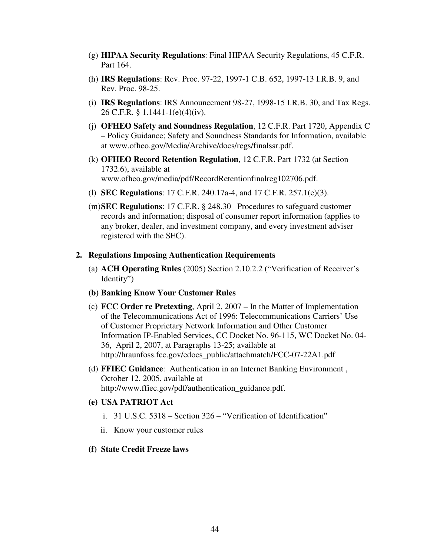- (g) **HIPAA Security Regulations**: Final HIPAA Security Regulations, 45 C.F.R. Part 164.
- (h) **IRS Regulations**: Rev. Proc. 97-22, 1997-1 C.B. 652, 1997-13 I.R.B. 9, and Rev. Proc. 98-25.
- (i) **IRS Regulations**: IRS Announcement 98-27, 1998-15 I.R.B. 30, and Tax Regs. 26 C.F.R. § 1.1441-1(e)(4)(iv).
- (j) **OFHEO Safety and Soundness Regulation**, 12 C.F.R. Part 1720, Appendix C – Policy Guidance; Safety and Soundness Standards for Information, available at www.ofheo.gov/Media/Archive/docs/regs/finalssr.pdf.
- (k) **OFHEO Record Retention Regulation**, 12 C.F.R. Part 1732 (at Section 1732.6), available at www.ofheo.gov/media/pdf/RecordRetentionfinalreg102706.pdf.
- (l) **SEC Regulations**: 17 C.F.R. 240.17a-4, and 17 C.F.R. 257.1(e)(3).
- (m)**SEC Regulations**: 17 C.F.R. § 248.30 Procedures to safeguard customer records and information; disposal of consumer report information (applies to any broker, dealer, and investment company, and every investment adviser registered with the SEC).

#### **2. Regulations Imposing Authentication Requirements**

- (a) **ACH Operating Rules** (2005) Section 2.10.2.2 ("Verification of Receiver's Identity")
- **(b) Banking Know Your Customer Rules**
- (c) **FCC Order re Pretexting**, April 2, 2007 In the Matter of Implementation of the Telecommunications Act of 1996: Telecommunications Carriers' Use of Customer Proprietary Network Information and Other Customer Information IP-Enabled Services, CC Docket No. 96-115, WC Docket No. 04- 36, April 2, 2007, at Paragraphs 13-25; available at http://hraunfoss.fcc.gov/edocs\_public/attachmatch/FCC-07-22A1.pdf
- (d) **FFIEC Guidance**: Authentication in an Internet Banking Environment , October 12, 2005, available at http://www.ffiec.gov/pdf/authentication\_guidance.pdf.

#### **(e) USA PATRIOT Act**

- i. 31 U.S.C. 5318 Section 326 "Verification of Identification"
- ii. Know your customer rules

#### **(f) State Credit Freeze laws**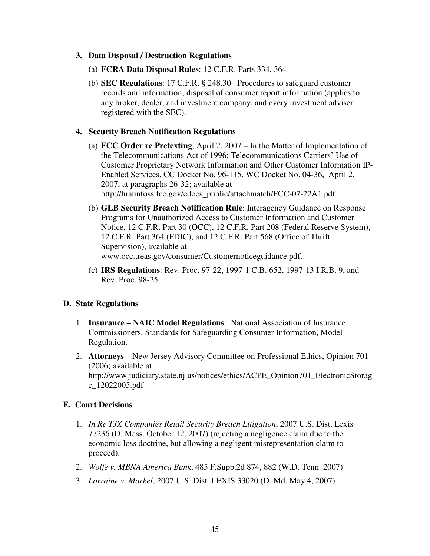## **3. Data Disposal / Destruction Regulations**

- (a) **FCRA Data Disposal Rules**: 12 C.F.R. Parts 334, 364
- (b) **SEC Regulations**: 17 C.F.R. § 248.30 Procedures to safeguard customer records and information; disposal of consumer report information (applies to any broker, dealer, and investment company, and every investment adviser registered with the SEC).

## **4. Security Breach Notification Regulations**

- (a) **FCC Order re Pretexting**, April 2, 2007 In the Matter of Implementation of the Telecommunications Act of 1996: Telecommunications Carriers' Use of Customer Proprietary Network Information and Other Customer Information IP-Enabled Services, CC Docket No. 96-115, WC Docket No. 04-36, April 2, 2007, at paragraphs 26-32; available at http://hraunfoss.fcc.gov/edocs\_public/attachmatch/FCC-07-22A1.pdf
- (b) **GLB Security Breach Notification Rule**: Interagency Guidance on Response Programs for Unauthorized Access to Customer Information and Customer Notice*,* 12 C.F.R. Part 30 (OCC), 12 C.F.R. Part 208 (Federal Reserve System), 12 C.F.R. Part 364 (FDIC), and 12 C.F.R. Part 568 (Office of Thrift Supervision), available at www.occ.treas.gov/consumer/Customernoticeguidance.pdf.
- (c) **IRS Regulations**: Rev. Proc. 97-22, 1997-1 C.B. 652, 1997-13 I.R.B. 9, and Rev. Proc. 98-25.

# **D. State Regulations**

- 1. **Insurance NAIC Model Regulations**: National Association of Insurance Commissioners, Standards for Safeguarding Consumer Information, Model Regulation.
- 2. **Attorneys**  New Jersey Advisory Committee on Professional Ethics, Opinion 701 (2006) available at http://www.judiciary.state.nj.us/notices/ethics/ACPE\_Opinion701\_ElectronicStorag e\_12022005.pdf

# **E. Court Decisions**

- 1. *In Re TJX Companies Retail Security Breach Litigation*, 2007 U.S. Dist. Lexis 77236 (D. Mass. October 12, 2007) (rejecting a negligence claim due to the economic loss doctrine, but allowing a negligent misrepresentation claim to proceed).
- 2. *Wolfe v. MBNA America Bank*, 485 F.Supp.2d 874, 882 (W.D. Tenn. 2007)
- 3. *Lorraine v. Markel*, 2007 U.S. Dist. LEXIS 33020 (D. Md. May 4, 2007)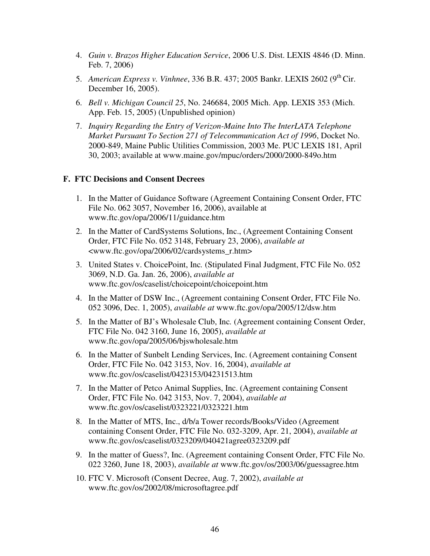- 4. *Guin v. Brazos Higher Education Service*, 2006 U.S. Dist. LEXIS 4846 (D. Minn. Feb. 7, 2006)
- 5. *American Express v. Vinhnee*, 336 B.R. 437; 2005 Bankr. LEXIS 2602 (9<sup>th</sup> Cir. December 16, 2005).
- 6. *Bell v. Michigan Council 25*, No. 246684, 2005 Mich. App. LEXIS 353 (Mich. App. Feb. 15, 2005) (Unpublished opinion)
- 7. *Inquiry Regarding the Entry of Verizon-Maine Into The InterLATA Telephone Market Pursuant To Section 271 of Telecommunication Act of 1996*, Docket No. 2000-849, Maine Public Utilities Commission, 2003 Me. PUC LEXIS 181, April 30, 2003; available at www.maine.gov/mpuc/orders/2000/2000-849o.htm

## **F. FTC Decisions and Consent Decrees**

- 1. In the Matter of Guidance Software (Agreement Containing Consent Order, FTC File No. 062 3057, November 16, 2006), available at www.ftc.gov/opa/2006/11/guidance.htm
- 2. In the Matter of CardSystems Solutions, Inc., (Agreement Containing Consent Order, FTC File No. 052 3148, February 23, 2006), *available at* <www.ftc.gov/opa/2006/02/cardsystems\_r.htm>
- 3. United States v. ChoicePoint, Inc*.* (Stipulated Final Judgment, FTC File No. 052 3069, N.D. Ga. Jan. 26, 2006), *available at* www.ftc.gov/os/caselist/choicepoint/choicepoint.htm
- 4. In the Matter of DSW Inc., (Agreement containing Consent Order, FTC File No. 052 3096, Dec. 1, 2005), *available at* www.ftc.gov/opa/2005/12/dsw.htm
- 5. In the Matter of BJ's Wholesale Club, Inc*.* (Agreement containing Consent Order, FTC File No. 042 3160, June 16, 2005), *available at* www.ftc.gov/opa/2005/06/bjswholesale.htm
- 6. In the Matter of Sunbelt Lending Services, Inc. (Agreement containing Consent Order, FTC File No. 042 3153, Nov. 16, 2004), *available at* www.ftc.gov/os/caselist/0423153/04231513.htm
- 7. In the Matter of Petco Animal Supplies, Inc. (Agreement containing Consent Order, FTC File No. 042 3153, Nov. 7, 2004), *available at* www.ftc.gov/os/caselist/0323221/0323221.htm
- 8. In the Matter of MTS, Inc., d/b/a Tower records/Books/Video (Agreement containing Consent Order, FTC File No. 032-3209, Apr. 21, 2004), *available at* www.ftc.gov/os/caselist/0323209/040421agree0323209.pdf
- 9. In the matter of Guess?, Inc. (Agreement containing Consent Order, FTC File No. 022 3260, June 18, 2003), *available at* www.ftc.gov/os/2003/06/guessagree.htm
- 10. FTC V. Microsoft (Consent Decree, Aug. 7, 2002), *available at* www.ftc.gov/os/2002/08/microsoftagree.pdf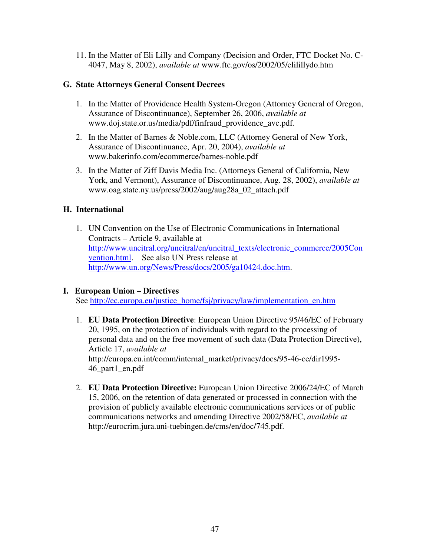11. In the Matter of Eli Lilly and Company (Decision and Order, FTC Docket No. C-4047, May 8, 2002), *available at* www.ftc.gov/os/2002/05/elilillydo.htm

## **G. State Attorneys General Consent Decrees**

- 1. In the Matter of Providence Health System-Oregon (Attorney General of Oregon, Assurance of Discontinuance), September 26, 2006, *available at*  www.doj.state.or.us/media/pdf/finfraud\_providence\_avc.pdf.
- 2. In the Matter of Barnes & Noble.com, LLC (Attorney General of New York, Assurance of Discontinuance, Apr. 20, 2004), *available at* www.bakerinfo.com/ecommerce/barnes-noble.pdf
- 3. In the Matter of Ziff Davis Media Inc. (Attorneys General of California, New York, and Vermont), Assurance of Discontinuance, Aug. 28, 2002), *available at* www.oag.state.ny.us/press/2002/aug/aug28a\_02\_attach.pdf

# **H. International**

1. UN Convention on the Use of Electronic Communications in International Contracts – Article 9, available at http://www.uncitral.org/uncitral/en/uncitral\_texts/electronic\_commerce/2005Con vention.html. See also UN Press release at http://www.un.org/News/Press/docs/2005/ga10424.doc.htm.

# **I. European Union – Directives**

See http://ec.europa.eu/justice\_home/fsj/privacy/law/implementation\_en.htm

- 1. **EU Data Protection Directive**: European Union Directive 95/46/EC of February 20, 1995, on the protection of individuals with regard to the processing of personal data and on the free movement of such data (Data Protection Directive), Article 17, *available at* http://europa.eu.int/comm/internal\_market/privacy/docs/95-46-ce/dir1995- 46 part1 en.pdf
- 2. **EU Data Protection Directive:** European Union Directive 2006/24/EC of March 15, 2006, on the retention of data generated or processed in connection with the provision of publicly available electronic communications services or of public communications networks and amending Directive 2002/58/EC, *available at* http://eurocrim.jura.uni-tuebingen.de/cms/en/doc/745.pdf.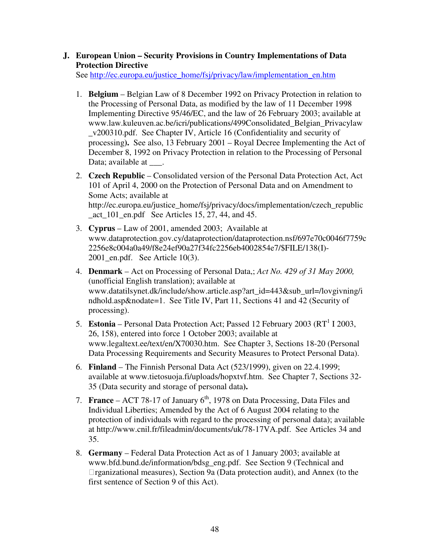# **J. European Union – Security Provisions in Country Implementations of Data Protection Directive**

See http://ec.europa.eu/justice\_home/fsj/privacy/law/implementation\_en.htm

- 1. **Belgium** Belgian Law of 8 December 1992 on Privacy Protection in relation to the Processing of Personal Data, as modified by the law of 11 December 1998 Implementing Directive 95/46/EC, and the law of 26 February 2003; available at www.law.kuleuven.ac.be/icri/publications/499Consolidated\_Belgian\_Privacylaw \_v200310.pdf. See Chapter IV, Article 16 (Confidentiality and security of processing**).** See also, 13 February 2001 – Royal Decree Implementing the Act of December 8, 1992 on Privacy Protection in relation to the Processing of Personal Data; available at \_\_\_\_.
- 2. **Czech Republic** Consolidated version of the Personal Data Protection Act, Act 101 of April 4, 2000 on the Protection of Personal Data and on Amendment to Some Acts; available at http://ec.europa.eu/justice\_home/fsj/privacy/docs/implementation/czech\_republic \_act\_101\_en.pdf See Articles 15, 27, 44, and 45.
- 3. **Cyprus** Law of 2001, amended 2003; Available at www.dataprotection.gov.cy/dataprotection/dataprotection.nsf/697e70c0046f7759c 2256e8c004a0a49/f8e24ef90a27f34fc2256eb4002854e7/\$FILE/138(I)- 2001\_en.pdf. See Article 10(3).
- 4. **Denmark** Act on Processing of Personal Data,; *Act No. 429 of 31 May 2000,*  (unofficial English translation); available at www.datatilsynet.dk/include/show.article.asp?art\_id=443&sub\_url=/lovgivning/i ndhold.asp&nodate=1. See Title IV, Part 11, Sections 41 and 42 (Security of processing).
- 5. **Estonia** Personal Data Protection Act; Passed 12 February 2003 ( $RT^1$  I 2003, 26, 158), entered into force 1 October 2003; available at www.legaltext.ee/text/en/X70030.htm. See Chapter 3, Sections 18-20 (Personal Data Processing Requirements and Security Measures to Protect Personal Data).
- 6. **Finland** The Finnish Personal Data Act (523/1999), given on 22.4.1999; available at www.tietosuoja.fi/uploads/hopxtvf.htm. See Chapter 7, Sections 32- 35 (Data security and storage of personal data**).**
- 7. **France** ACT 78-17 of January 6<sup>th</sup>, 1978 on Data Processing, Data Files and Individual Liberties; Amended by the Act of 6 August 2004 relating to the protection of individuals with regard to the processing of personal data); available at http://www.cnil.fr/fileadmin/documents/uk/78-17VA.pdf. See Articles 34 and 35.
- 8. **Germany** Federal Data Protection Act as of 1 January 2003; available at www.bfd.bund.de/information/bdsg\_eng.pdf. See Section 9 (Technical and rganizational measures), Section 9a (Data protection audit), and Annex (to the first sentence of Section 9 of this Act).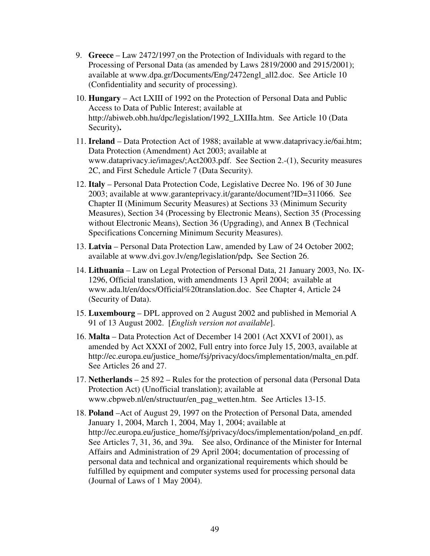- 9. **Greece** Law 2472/1997 on the Protection of Individuals with regard to the Processing of Personal Data (as amended by Laws 2819/2000 and 2915/2001); available at www.dpa.gr/Documents/Eng/2472engl\_all2.doc. See Article 10 (Confidentiality and security of processing).
- 10. **Hungary** Act LXIII of 1992 on the Protection of Personal Data and Public Access to Data of Public Interest; available at http://abiweb.obh.hu/dpc/legislation/1992\_LXIIIa.htm. See Article 10 (Data Security)**.**
- 11. **Ireland** Data Protection Act of 1988; available at www.dataprivacy.ie/6ai.htm; Data Protection (Amendment) Act 2003; available at www.dataprivacy.ie/images/;Act2003.pdf. See Section 2.-(1), Security measures 2C, and First Schedule Article 7 (Data Security).
- 12. **Italy** Personal Data Protection Code, Legislative Decree No. 196 of 30 June 2003; available at www.garanteprivacy.it/garante/document?ID=311066. See Chapter II (Minimum Security Measures) at Sections 33 (Minimum Security Measures), Section 34 (Processing by Electronic Means), Section 35 (Processing without Electronic Means), Section 36 (Upgrading), and Annex B (Technical Specifications Concerning Minimum Security Measures).
- 13. **Latvia** Personal Data Protection Law, amended by Law of 24 October 2002; available at www.dvi.gov.lv/eng/legislation/pdp**.** See Section 26.
- 14. **Lithuania** Law on Legal Protection of Personal Data, 21 January 2003, No. IX-1296, Official translation, with amendments 13 April 2004; available at www.ada.lt/en/docs/Official%20translation.doc. See Chapter 4, Article 24 (Security of Data).
- 15. **Luxembourg** DPL approved on 2 August 2002 and published in Memorial A 91 of 13 August 2002. [*English version not available*].
- 16. **Malta** Data Protection Act of December 14 2001 (Act XXVI of 2001), as amended by Act XXXI of 2002, Full entry into force July 15, 2003, available at http://ec.europa.eu/justice\_home/fsj/privacy/docs/implementation/malta\_en.pdf. See Articles 26 and 27.
- 17. **Netherlands** 25 892 Rules for the protection of personal data (Personal Data Protection Act) (Unofficial translation); available at www.cbpweb.nl/en/structuur/en\_pag\_wetten.htm. See Articles 13-15.
- 18. **Poland** –Act of August 29, 1997 on the Protection of Personal Data, amended January 1, 2004, March 1, 2004, May 1, 2004; available at http://ec.europa.eu/justice\_home/fsj/privacy/docs/implementation/poland\_en.pdf. See Articles 7, 31, 36, and 39a. See also, Ordinance of the Minister for Internal Affairs and Administration of 29 April 2004; documentation of processing of personal data and technical and organizational requirements which should be fulfilled by equipment and computer systems used for processing personal data (Journal of Laws of 1 May 2004).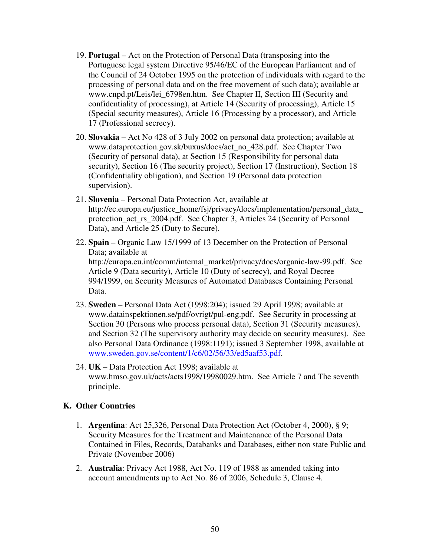- 19. **Portugal** Act on the Protection of Personal Data (transposing into the Portuguese legal system Directive 95/46/EC of the European Parliament and of the Council of 24 October 1995 on the protection of individuals with regard to the processing of personal data and on the free movement of such data); available at www.cnpd.pt/Leis/lei 6798en.htm. See Chapter II, Section III (Security and confidentiality of processing), at Article 14 (Security of processing), Article 15 (Special security measures), Article 16 (Processing by a processor), and Article 17 (Professional secrecy).
- 20. **Slovakia** Act No 428 of 3 July 2002 on personal data protection; available at www.dataprotection.gov.sk/buxus/docs/act\_no\_428.pdf. See Chapter Two (Security of personal data), at Section 15 (Responsibility for personal data security), Section 16 (The security project), Section 17 (Instruction), Section 18 (Confidentiality obligation), and Section 19 (Personal data protection supervision).
- 21. **Slovenia** Personal Data Protection Act, available at http://ec.europa.eu/justice\_home/fsj/privacy/docs/implementation/personal\_data protection act rs 2004.pdf. See Chapter 3, Articles 24 (Security of Personal Data), and Article 25 (Duty to Secure).
- 22. **Spain** Organic Law 15/1999 of 13 December on the Protection of Personal Data; available at http://europa.eu.int/comm/internal\_market/privacy/docs/organic-law-99.pdf. See Article 9 (Data security), Article 10 (Duty of secrecy), and Royal Decree 994/1999, on Security Measures of Automated Databases Containing Personal Data.
- 23. **Sweden**  Personal Data Act (1998:204); issued 29 April 1998; available at www.datainspektionen.se/pdf/ovrigt/pul-eng.pdf. See Security in processing at Section 30 (Persons who process personal data), Section 31 (Security measures), and Section 32 (The supervisory authority may decide on security measures). See also Personal Data Ordinance (1998:1191); issued 3 September 1998, available at www.sweden.gov.se/content/1/c6/02/56/33/ed5aaf53.pdf.
- 24. **UK** Data Protection Act 1998; available at www.hmso.gov.uk/acts/acts1998/19980029.htm. See Article 7 and The seventh principle.

# **K. Other Countries**

- 1. **Argentina**: Act 25,326, Personal Data Protection Act (October 4, 2000), § 9; Security Measures for the Treatment and Maintenance of the Personal Data Contained in Files, Records, Databanks and Databases, either non state Public and Private (November 2006)
- 2. **Australia**: Privacy Act 1988, Act No. 119 of 1988 as amended taking into account amendments up to Act No. 86 of 2006, Schedule 3, Clause 4.